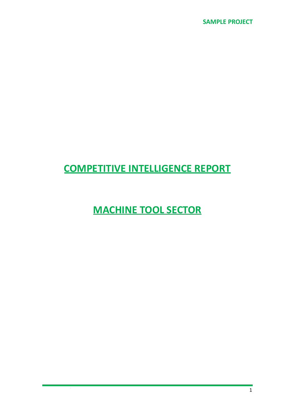# **COMPETITIVE INTELLIGENCE REPORT**

**MACHINE TOOL SECTOR**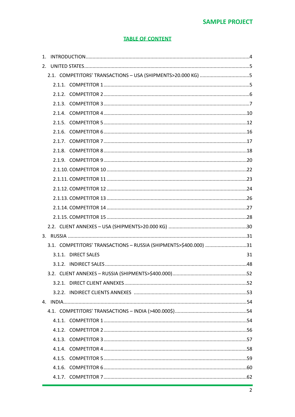# **SAMPLE PROJECT**

## **TABLE OF CONTENT**

| 2.1. COMPETITORS' TRANSACTIONS - USA (SHIPMENTS>20.000 KG) 5     |    |
|------------------------------------------------------------------|----|
|                                                                  |    |
|                                                                  |    |
|                                                                  |    |
|                                                                  |    |
|                                                                  |    |
|                                                                  |    |
|                                                                  |    |
|                                                                  |    |
|                                                                  |    |
|                                                                  |    |
|                                                                  |    |
|                                                                  |    |
|                                                                  |    |
|                                                                  |    |
|                                                                  |    |
|                                                                  |    |
|                                                                  |    |
| 3.1. COMPETITORS' TRANSACTIONS - RUSSIA (SHIPMENTS>\$400.000) 31 |    |
| 3.1.1. DIRECT SALES                                              | 31 |
|                                                                  |    |
|                                                                  |    |
|                                                                  |    |
|                                                                  |    |
|                                                                  |    |
|                                                                  |    |
|                                                                  |    |
|                                                                  |    |
|                                                                  |    |
|                                                                  |    |
|                                                                  |    |
|                                                                  |    |
|                                                                  |    |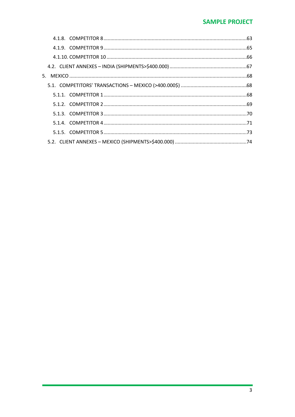# **SAMPLE PROJECT**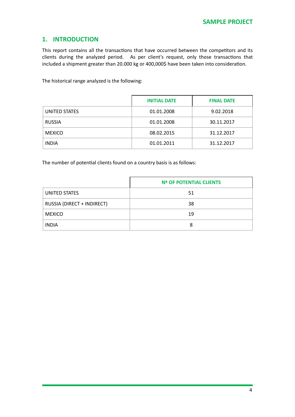# <span id="page-3-0"></span>**1. INTRODUCTION**

This report contains all the transactions that have occurred between the competitors and its clients during the analyzed period. As per client's request, only those transactions that included a shipment greater than 20.000 kg or 400,000\$ have been taken into consideration.

The historical range analyzed is the following:

|               | <b>INITIAL DATE</b> | <b>FINAL DATE</b> |
|---------------|---------------------|-------------------|
| UNITED STATES | 01.01.2008          | 9.02.2018         |
| <b>RUSSIA</b> | 01.01.2008          | 30.11.2017        |
| <b>MEXICO</b> | 08.02.2015          | 31.12.2017        |
| <b>INDIA</b>  | 01.01.2011          | 31.12.2017        |

The number of potential clients found on a country basis is as follows:

|                            | <b>Nº OF POTENTIAL CLIENTS</b> |
|----------------------------|--------------------------------|
| UNITED STATES              | 51                             |
| RUSSIA (DIRECT + INDIRECT) | 38                             |
| <b>MEXICO</b>              | 19                             |
| <b>INDIA</b>               | Ջ                              |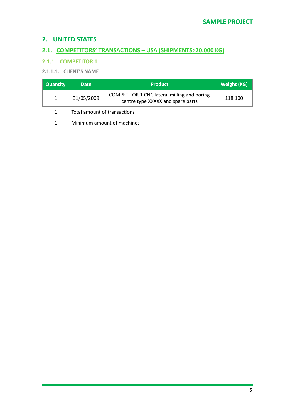# <span id="page-4-0"></span>**2. UNITED STATES**

# <span id="page-4-1"></span>**2.1. COMPETITORS' TRANSACTIONS - USA (SHIPMENTS>20.000 KG)**

# <span id="page-4-2"></span>**2.1.1. COMPETITOR 1**

# **2.1.1.1. CLIENT'S NAME**

| <b>Quantity</b> | <b>Date</b>                  | <b>Product</b>                                                                   | Weight (KG) |
|-----------------|------------------------------|----------------------------------------------------------------------------------|-------------|
| $\mathbf{1}$    | 31/05/2009                   | COMPETITOR 1 CNC lateral milling and boring<br>centre type XXXXX and spare parts | 118.100     |
|                 | Total amount of transactions |                                                                                  |             |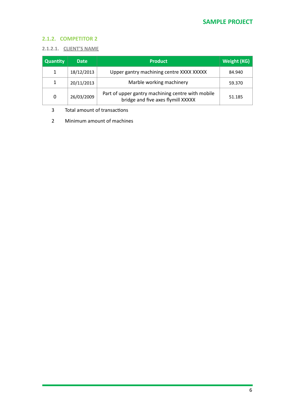# <span id="page-5-0"></span>**2.1.2. COMPETITOR 2**

#### **2.1.2.1. CLIENT'S NAME**

| <b>Quantity</b> | <b>Date</b> | <b>Product</b>                                                                          | Weight (KG) |
|-----------------|-------------|-----------------------------------------------------------------------------------------|-------------|
| 1               | 18/12/2013  | Upper gantry machining centre XXXX XXXXX                                                | 84.940      |
| 1               | 20/11/2013  | Marble working machinery                                                                | 59.370      |
| 0               | 26/03/2009  | Part of upper gantry machining centre with mobile<br>bridge and five axes flymill XXXXX | 51.185      |

3 Total amount of transactions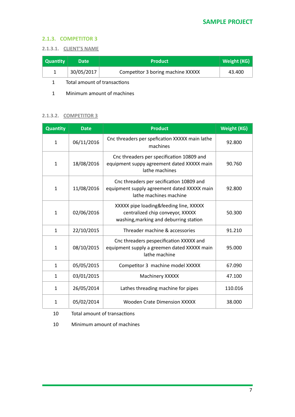#### <span id="page-6-0"></span>**2.1.3. COMPETITOR 3**

#### **2.1.3.1. CLIENT'S NAME**

| <b>Quantity</b> | <b>Date</b> | <b>Product</b>                    | Weight (KG) |
|-----------------|-------------|-----------------------------------|-------------|
|                 | 30/05/2017  | Competitor 3 boring machine XXXXX | 43.400      |
|                 |             |                                   |             |

1 Total amount of transactions

1 Minimum amount of machines

#### **2.1.3.2. COMPETITOR 3**

| Quantity     | <b>Date</b> | <b>Product</b>                                                                                                       | <b>Weight (KG)</b> |
|--------------|-------------|----------------------------------------------------------------------------------------------------------------------|--------------------|
| $\mathbf{1}$ | 06/11/2016  | Cnc threaders per spefication XXXXX main lathe<br>machines                                                           | 92.800             |
| $\mathbf{1}$ | 18/08/2016  | Cnc threaders per specification 10809 and<br>equipment suppy agreement dated XXXXX main<br>lathe machines            | 90.760             |
| $\mathbf{1}$ | 11/08/2016  | Cnc threaders per secification 10809 and<br>equipment supply agreement dated XXXXX main<br>lathe machines machine    | 92.800             |
| $\mathbf{1}$ | 02/06/2016  | XXXXX pipe loading&feeding line, XXXXX<br>centralized chip conveyor, XXXXX<br>washing, marking and deburring station | 50.300             |
| $\mathbf{1}$ | 22/10/2015  | Threader machine & accessories                                                                                       | 91.210             |
| 1            | 08/10/2015  | Cnc threaders pespecification XXXXX and<br>equipment supply a greemen dated XXXXX main<br>lathe machine              | 95.000             |
| 1            | 05/05/2015  | Competitor 3 machine model XXXXX                                                                                     | 67.090             |
| $\mathbf{1}$ | 03/01/2015  | Machinery XXXXX                                                                                                      | 47.100             |
| 1            | 26/05/2014  | Lathes threading machine for pipes                                                                                   | 110.016            |
| $\mathbf{1}$ | 05/02/2014  | Wooden Crate Dimension XXXXX                                                                                         | 38.000             |

10 Total amount of transactions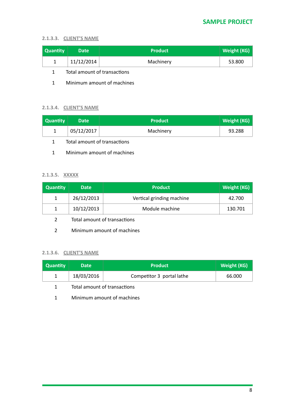#### **2.1.3.3. CLIENT'S NAME**

| Quantity | <b>Date</b> | <b>Product</b> | Weight (KG) |
|----------|-------------|----------------|-------------|
|          | 11/12/2014  | Machinery      | 53.800      |

- 1 Total amount of transactions
- 1 Minimum amount of machines

#### **2.1.3.4. CLIENT'S NAME**

| <b>Quantity</b> | <b>Date</b> | <b>Product</b> | Weight (KG) |
|-----------------|-------------|----------------|-------------|
|                 | 05/12/2017  | Machinery      | 93.288      |

- 1 Total amount of transactions
- 1 Minimum amount of machines

#### **2.1.3.5. XXXXX**

| <b>Quantity</b> | <b>Date</b> | <b>Product</b>            | Weight (KG) |
|-----------------|-------------|---------------------------|-------------|
|                 | 26/12/2013  | Vertical grinding machine | 42.700      |
|                 | 10/12/2013  | Module machine            | 130.701     |

- 2 Total amount of transactions
- 2 Minimum amount of machines

#### **2.1.3.6. CLIENT'S NAME**

| Quantity | <b>Date</b> | <b>Product</b>            | <b>Weight (KG)</b> |
|----------|-------------|---------------------------|--------------------|
|          | 18/03/2016  | Competitor 3 portal lathe | 66.000             |

- 1 Total amount of transactions
- 1 Minimum amount of machines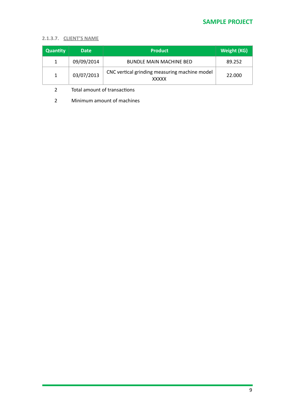#### **2.1.3.7. CLIENT'S NAME**

| <b>Quantity</b> | <b>Date</b> | <b>Product</b>                                                | <b>Weight (KG)</b> |
|-----------------|-------------|---------------------------------------------------------------|--------------------|
| 1               | 09/09/2014  | <b>BUNDLE MAIN MACHINE BED</b>                                | 89.252             |
| $\mathbf{1}$    | 03/07/2013  | CNC vertical grinding measuring machine model<br><b>XXXXX</b> | 22,000             |

2 Total amount of transactions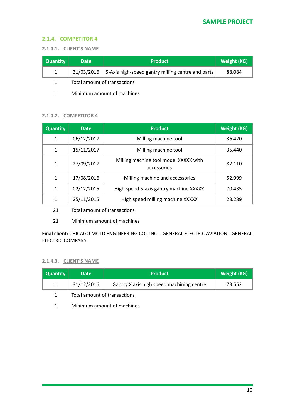## <span id="page-9-0"></span>**2.1.4. COMPETITOR 4**

#### **2.1.4.1. CLIENT'S NAME**

| <b>Quantity</b> | <b>Date</b>                  | <b>Product</b>                                    | <b>Weight (KG)</b> |
|-----------------|------------------------------|---------------------------------------------------|--------------------|
|                 | 31/03/2016                   | 5-Axis high-speed gantry milling centre and parts | 88.084             |
|                 | Total amount of transactions |                                                   |                    |

1 Minimum amount of machines

#### **2.1.4.2. COMPETITOR 4**

| <b>Quantity</b> | <b>Date</b> | <b>Product</b>                                       | <b>Weight (KG)</b> |
|-----------------|-------------|------------------------------------------------------|--------------------|
| 1               | 06/12/2017  | Milling machine tool                                 | 36.420             |
| 1               | 15/11/2017  | Milling machine tool                                 | 35.440             |
| $\mathbf{1}$    | 27/09/2017  | Milling machine tool model XXXXX with<br>accessories | 82.110             |
| 1               | 17/08/2016  | Milling machine and accessories                      | 52.999             |
| 1               | 02/12/2015  | High speed 5-axis gantry machine XXXXX               | 70.435             |
| 1               | 25/11/2015  | High speed milling machine XXXXX                     | 23.289             |

21 Total amount of transactions

21 Minimum amount of machines

Final client: CHICAGO MOLD ENGINEERING CO., INC. - GENERAL ELECTRIC AVIATION - GENERAL ELECTRIC COMPANY.

#### **2.1.4.3. CLIENT'S NAME**

| <b>Quantity</b> | <b>Date</b>                  | <b>Product</b>                            | Weight (KG) |
|-----------------|------------------------------|-------------------------------------------|-------------|
|                 | 31/12/2016                   | Gantry X axis high speed machining centre | 73.552      |
|                 | Total amount of transactions |                                           |             |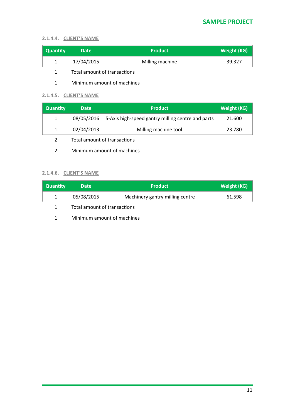#### **2.1.4.4. CLIENT'S NAME**

| <b>Quantity</b> | <b>Date</b> | <b>Product</b>  | <b>Weight (KG)</b> |
|-----------------|-------------|-----------------|--------------------|
|                 | 17/04/2015  | Milling machine | 39.327             |

1 Total amount of transactions

#### 1 Minimum amount of machines

#### **2.1.4.5. CLIENT'S NAME**

| <b>Quantity</b> | <b>Date</b> | <b>Product</b>                                    | Weight (KG) |
|-----------------|-------------|---------------------------------------------------|-------------|
|                 | 08/05/2016  | 5-Axis high-speed gantry milling centre and parts | 21.600      |
|                 | 02/04/2013  | Milling machine tool                              | 23.780      |

- 2 Total amount of transactions
- 2 Minimum amount of machines

# **2.1.4.6. CLIENT'S NAME**

| <b>Quantity</b> | <b>Date</b>                  | <b>Product</b>                  | Weight (KG) |
|-----------------|------------------------------|---------------------------------|-------------|
|                 | 05/08/2015                   | Machinery gantry milling centre | 61.598      |
|                 | Total amount of transactions |                                 |             |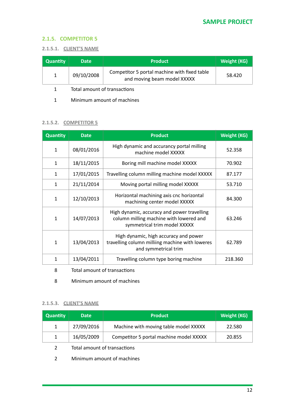#### <span id="page-11-0"></span>**2.1.5. COMPETITOR 5**

#### **2.1.5.1. CLIENT'S NAME**

| <b>Quantity</b> | <b>Date</b>                  | <b>Product</b>                                                              | Weight (KG) |
|-----------------|------------------------------|-----------------------------------------------------------------------------|-------------|
| $\mathbf{1}$    | 09/10/2008                   | Competitor 5 portal machine with fixed table<br>and moving beam model XXXXX | 58.420      |
|                 | Total amount of transactions |                                                                             |             |

1 Minimum amount of machines

#### **2.1.5.2. COMPETITOR 5**

| <b>Quantity</b> | <b>Date</b> | <b>Product</b>                                                                                                         | <b>Weight (KG)</b> |
|-----------------|-------------|------------------------------------------------------------------------------------------------------------------------|--------------------|
| $\mathbf{1}$    | 08/01/2016  | High dynamic and accurancy portal milling<br>machine model XXXXX                                                       | 52.358             |
| $\mathbf{1}$    | 18/11/2015  | Boring mill machine model XXXXX                                                                                        | 70.902             |
| $\mathbf{1}$    | 17/01/2015  | Travelling column milling machine model XXXXX                                                                          | 87.177             |
| $\mathbf{1}$    | 21/11/2014  | Moving portal milling model XXXXX                                                                                      | 53.710             |
| 1               | 12/10/2013  | Horizontal machining axis cnc horizontal<br>machining center model XXXXX                                               | 84.300             |
| 1               | 14/07/2013  | High dynamic, accuracy and power travelling<br>column milling machine with lowered and<br>symmetrical trim model XXXXX | 63.246             |
| 1               | 13/04/2013  | High dynamic, high accuracy and power<br>travelling column milliing machine with loweres<br>and symmetrical trim       | 62.789             |
| 1               | 13/04/2011  | Travelling column type boring machine                                                                                  | 218.360            |

- 8 Total amount of transactions
- 8 Minimum amount of machines

#### **2.1.5.3. CLIENT'S NAME**

| <b>Quantity</b> | <b>Date</b> | <b>Product</b>                          | <b>Weight (KG)</b> |
|-----------------|-------------|-----------------------------------------|--------------------|
| 1               | 27/09/2016  | Machine with moving table model XXXXX   | 22.580             |
| $\mathbf{1}$    | 16/05/2009  | Competitor 5 portal machine model XXXXX | 20.855             |
|                 |             |                                         |                    |

- 2 Total amount of transactions
- 2 Minimum amount of machines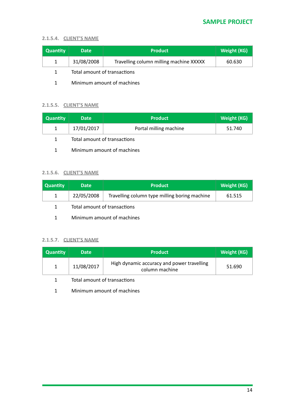#### **2.1.5.4. CLIENT'S NAME**

| <b>Quantity</b> | <b>Date</b> | <b>Product</b>                          | Weight (KG) |
|-----------------|-------------|-----------------------------------------|-------------|
|                 | 31/08/2008  | Travelling column milling machine XXXXX | 60.630      |
|                 |             | Total amount of transactions            |             |

1 Minimum amount of machines

#### **2.1.5.5. CLIENT'S NAME**

| <b>Quantity</b> | <b>Date</b>                  | <b>Product</b>         | <b>Weight (KG)</b> |  |
|-----------------|------------------------------|------------------------|--------------------|--|
|                 | 17/01/2017                   | Portal milling machine | 51.740             |  |
|                 | Total amount of transactions |                        |                    |  |

1 Minimum amount of machines

#### **2.1.5.6. CLIENT'S NAME**

| Quantity | <b>Date</b>                  | <b>Product</b>                                | <b>Weight (KG)</b> |
|----------|------------------------------|-----------------------------------------------|--------------------|
| 1        | 22/05/2008                   | Travelling column type milling boring machine | 61.515             |
| 1        | Total amount of transactions |                                               |                    |

1 Minimum amount of machines

#### **2.1.5.7. CLIENT'S NAME**

| <b>Quantity</b> | <b>Date</b> | <b>Product</b>                                               | <b>Weight (KG)</b> |
|-----------------|-------------|--------------------------------------------------------------|--------------------|
|                 | 11/08/2017  | High dynamic accuracy and power travelling<br>column machine | 51.690             |

1 Total amount of transactions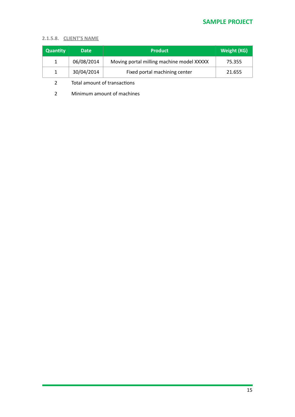# **SAMPLE PROJECT**

#### **2.1.5.8. CLIENT'S NAME**

| <b>Quantity</b> | <b>Date</b> | <b>Product</b>                            | <b>Weight (KG)</b> |
|-----------------|-------------|-------------------------------------------|--------------------|
| 1               | 06/08/2014  | Moving portal milling machine model XXXXX | 75.355             |
| 1               | 30/04/2014  | Fixed portal machining center             | 21.655             |

2 Total amount of transactions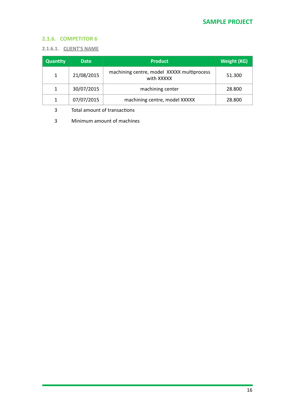# <span id="page-14-0"></span>**2.1.6. COMPETITOR 6**

#### **2.1.6.1. CLIENT'S NAME**

| <b>Quantity</b> | <b>Date</b> | <b>Product</b>                                           | Weight (KG) |
|-----------------|-------------|----------------------------------------------------------|-------------|
| $\mathbf{1}$    | 21/08/2015  | machining centre, model XXXXX multiprocess<br>with XXXXX | 51.300      |
| 1               | 30/07/2015  | machining center                                         | 28,800      |
|                 | 07/07/2015  | machining centre, model XXXXX                            | 28,800      |

3 Total amount of transactions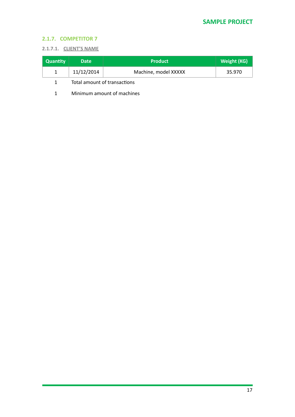# <span id="page-15-0"></span>**2.1.7. COMPETITOR 7**

#### **2.1.7.1. CLIENT'S NAME**

| <b>Quantity</b> | <b>Date</b> | <b>Product</b>       | Weight (KG) <sup>+</sup> |
|-----------------|-------------|----------------------|--------------------------|
|                 | 11/12/2014  | Machine, model XXXXX | 35.970                   |
|                 |             |                      |                          |

1 Total amount of transactions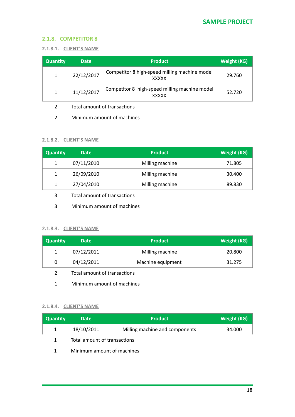#### <span id="page-16-0"></span>**2.1.8. COMPETITOR 8**

#### **2.1.8.1. CLIENT'S NAME**

| <b>Quantity</b> | <b>Date</b> | <b>Product</b>                                                | <b>Weight (KG)</b> |
|-----------------|-------------|---------------------------------------------------------------|--------------------|
| 1               | 22/12/2017  | Competitor 8 high-speed milling machine model<br><b>XXXXX</b> | 29.760             |
| 1               | 11/12/2017  | Competitor 8 high-speed milling machine model<br><b>XXXXX</b> | 52.720             |

- 2 Total amount of transactions
- 2 Minimum amount of machines

#### **2.1.8.2. CLIENT'S NAME**

| <b>Quantity</b> | <b>Date</b> | <b>Product</b>  | <b>Weight (KG)</b> |
|-----------------|-------------|-----------------|--------------------|
| $\mathbf{1}$    | 07/11/2010  | Milling machine | 71.805             |
| 1               | 26/09/2010  | Milling machine | 30.400             |
| $\mathbf{1}$    | 27/04/2010  | Milling machine | 89.830             |

- 3 Total amount of transactions
- 3 Minimum amount of machines

#### **2.1.8.3. CLIENT'S NAME**

| <b>Quantity</b> | <b>Date</b> | <b>Product</b>    | Weight (KG) |
|-----------------|-------------|-------------------|-------------|
|                 | 07/12/2011  | Milling machine   | 20,800      |
|                 | 04/12/2011  | Machine equipment | 31.275      |

- 2 Total amount of transactions
- 1 Minimum amount of machines

#### **2.1.8.4. CLIENT'S NAME**

| <b>Quantity</b> | <b>Date</b>                  | <b>Product</b>                 | Weight (KG) |
|-----------------|------------------------------|--------------------------------|-------------|
| $\mathbf{1}$    | 18/10/2011                   | Milling machine and components | 34.000      |
| 1.              | Total amount of transactions |                                |             |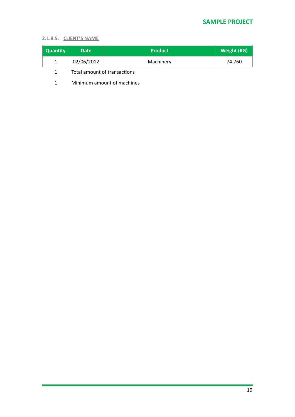#### **2.1.8.5. CLIENT'S NAME**

| <b>Quantity</b> | <b>Date</b> | <b>Product</b> | Weight (KG) |
|-----------------|-------------|----------------|-------------|
|                 | 02/06/2012  | Machinery      | 74.760      |

1 Total amount of transactions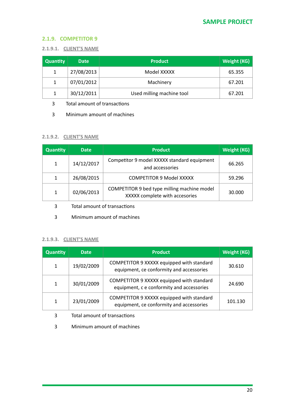## <span id="page-18-0"></span>**2.1.9. COMPETITOR 9**

#### **2.1.9.1. CLIENT'S NAME**

| <b>Quantity</b> | <b>Date</b> | <b>Product</b>            | <b>Weight (KG)</b> |
|-----------------|-------------|---------------------------|--------------------|
| 1               | 27/08/2013  | Model XXXXX               | 65.355             |
| 1               | 07/01/2012  | Machinery                 | 67.201             |
| 1               | 30/12/2011  | Used milling machine tool | 67.201             |

3 Total amount of transactions

3 Minimum amount of machines

#### **2.1.9.2. CLIENT'S NAME**

| <b>Quantity</b> | <b>Date</b> | <b>Product</b>                                                                | Weight (KG) |
|-----------------|-------------|-------------------------------------------------------------------------------|-------------|
| $\mathbf{1}$    | 14/12/2017  | Competitor 9 model XXXXX standard equipment<br>and accessories                | 66.265      |
| $\mathbf{1}$    | 26/08/2015  | <b>COMPETITOR 9 Model XXXXX</b>                                               | 59.296      |
| $\mathbf{1}$    | 02/06/2013  | COMPETITOR 9 bed type milling machine model<br>XXXXX complete with accesories | 30.000      |

- 3 Total amount of transactions
- 3 Minimum amount of machines

#### **2.1.9.3. CLIENT'S NAME**

| <b>Quantity</b> | <b>Date</b> | <b>Product</b>                                                                         | <b>Weight (KG)</b> |
|-----------------|-------------|----------------------------------------------------------------------------------------|--------------------|
| $\mathbf{1}$    | 19/02/2009  | COMPETITOR 9 XXXXX equipped with standard<br>equipment, ce conformity and accessories  | 30.610             |
| 1               | 30/01/2009  | COMPETITOR 9 XXXXX equipped with standard<br>equipment, c e conformity and accessories | 24.690             |
| 1               | 23/01/2009  | COMPETITOR 9 XXXXX equipped with standard<br>equipment, ce conformity and accessories  | 101.130            |

- 3 Total amount of transactions
- 3 Minimum amount of machines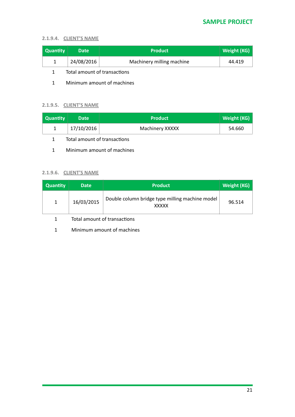# **2.1.9.4. CLIENT'S NAME**

| <b>Quantity</b> | <b>Date</b> | <b>Product</b>            | Weight (KG) |
|-----------------|-------------|---------------------------|-------------|
|                 | 24/08/2016  | Machinery milling machine | 44.419      |

1 Total amount of transactions

1 Minimum amount of machines

#### **2.1.9.5. CLIENT'S NAME**

|            |                 | Weight (KG) |
|------------|-----------------|-------------|
| 17/10/2016 | Machinery XXXXX | 54.660      |

- 1 Total amount of transactions
- 1 Minimum amount of machines

## **2.1.9.6. CLIENT'S NAME**

| <b>Quantity</b> | <b>Date</b> | <b>Product</b>                                                  | Weight (KG) |
|-----------------|-------------|-----------------------------------------------------------------|-------------|
| $\mathbf{1}$    | 16/03/2015  | Double column bridge type milling machine model<br><b>XXXXX</b> | 96.514      |

1 Total amount of transactions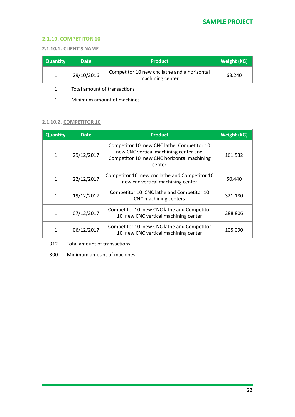#### <span id="page-20-0"></span>**2.1.10. COMPETITOR 10**

#### **2.1.10.1. CLIENT'S NAME**

| <b>Quantity</b> | <b>Date</b> | <b>Product</b>                                                   | <b>Weight (KG)</b> |
|-----------------|-------------|------------------------------------------------------------------|--------------------|
|                 | 29/10/2016  | Competitor 10 new cnc lathe and a horizontal<br>machining center | 63.240             |

1 Total amount of transactions

1 Minimum amount of machines

# **2.1.10.2. COMPETITOR 10**

| <b>Quantity</b> | <b>Date</b> | <b>Product</b>                                                                                                                              | <b>Weight (KG)</b> |
|-----------------|-------------|---------------------------------------------------------------------------------------------------------------------------------------------|--------------------|
| 1               | 29/12/2017  | Competitor 10 new CNC lathe, Competitor 10<br>new CNC vertical machining center and<br>Competitor 10 new CNC horizontal machining<br>center | 161.532            |
| 1               | 22/12/2017  | Competitor 10 new cnc lathe and Competitor 10<br>new cnc vertical machining center                                                          | 50.440             |
| 1               | 19/12/2017  | Competitor 10 CNC lathe and Competitor 10<br>CNC machining centers                                                                          | 321.180            |
| 1               | 07/12/2017  | Competitor 10 new CNC lathe and Competitor<br>10 new CNC vertical machining center                                                          | 288.806            |
| 1               | 06/12/2017  | Competitor 10 new CNC lathe and Competitor<br>10 new CNC vertical machining center                                                          | 105.090            |

312 Total amount of transactions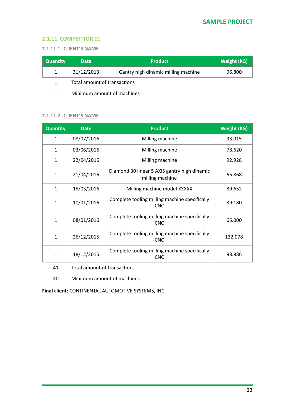#### <span id="page-21-0"></span>**2.1.11. COMPETITOR 11**

#### **2.1.11.1. CLIENT'S NAME**

| <b>Quantity</b> | <b>Date</b>                  | <b>Product</b>                      | <b>Weight (KG)</b> |
|-----------------|------------------------------|-------------------------------------|--------------------|
|                 | 31/12/2013                   | Gantry high dinamic milling machine | 96.800             |
|                 | Total amount of transactions |                                     |                    |

1 Minimum amount of machines

#### **2.1.11.2. CLIENT'S NAME**

| Quantity     | <b>Date</b> | <b>Product</b>                                                  | <b>Weight (KG)</b> |
|--------------|-------------|-----------------------------------------------------------------|--------------------|
| $\mathbf{1}$ | 08/07/2016  | Milling machine                                                 | 93.015             |
| $\mathbf{1}$ | 03/06/2016  | Milling machine                                                 | 78.620             |
| $\mathbf{1}$ | 22/04/2016  | Milling machine                                                 | 92.928             |
| 1            | 21/04/2016  | Diamond 30 linear 5 AXIS gantry high dinamic<br>milling machine | 65.868             |
| $\mathbf{1}$ | 15/03/2016  | Milling machine model XXXXX                                     | 89.652             |
| 1            | 10/01/2016  | Complete tooling milling machine specifically<br><b>CNC</b>     | 39.180             |
| 1            | 08/01/2016  | Complete tooling milling machine specifically<br><b>CNC</b>     | 65.000             |
| 1            | 26/12/2015  | Complete tooling milling machine specifically<br><b>CNC</b>     | 132.078            |
| 1            | 18/12/2015  | Complete tooling milling machine specifically<br><b>CNC</b>     | 98.886             |

41 Total amount of transactions

40 Minimum amount of machines

**Final client:** CONTINENTAL AUTOMOTIVE SYSTEMS, INC.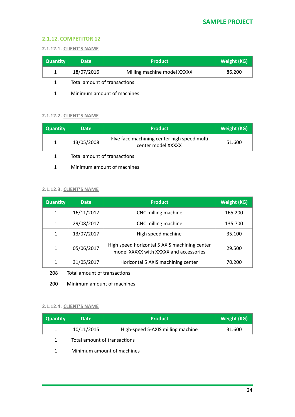#### <span id="page-22-0"></span>**2.1.12. COMPETITOR 12**

#### **2.1.12.1. CLIENT'S NAME**

| <b>Quantity</b> | <b>Date</b> | <b>Product</b>              | <b>Weight (KG)</b> |
|-----------------|-------------|-----------------------------|--------------------|
|                 | 18/07/2016  | Milling machine model XXXXX | 86.200             |
|                 |             |                             |                    |

1 Total amount of transactions

1 Minimum amount of machines

#### **2.1.12.2. CLIENT'S NAME**

| Quantity     | <b>Date</b>                  | <b>Product</b>                                                    | <b>Weight (KG)</b> |
|--------------|------------------------------|-------------------------------------------------------------------|--------------------|
| $\mathbf{1}$ | 13/05/2008                   | Five face machining center high speed multi<br>center model XXXXX | 51.600             |
|              | Total amount of transactions |                                                                   |                    |

1 Minimum amount of machines

#### **2.1.12.3. CLIENT'S NAME**

| <b>Quantity</b> | <b>Date</b> | <b>Product</b>                                                                          | <b>Weight (KG)</b> |
|-----------------|-------------|-----------------------------------------------------------------------------------------|--------------------|
| 1               | 16/11/2017  | CNC milling machine                                                                     | 165.200            |
| 1               | 29/08/2017  | CNC milling machine                                                                     | 135.700            |
| 1               | 13/07/2017  | High speed machine                                                                      | 35.100             |
| 1               | 05/06/2017  | High speed horizontal 5 AXIS machining center<br>model XXXXX with XXXXX and accessories | 29.500             |
| 1               | 31/05/2017  | Horizontal 5 AXIS machining center                                                      | 70.200             |

208 Total amount of transactions

200 Minimum amount of machines

#### **2.1.12.4. CLIENT'S NAME**

| <b>Quantity</b> | <b>Date</b>                  | <b>Product</b>                    | <b>Weight (KG)</b> |
|-----------------|------------------------------|-----------------------------------|--------------------|
|                 | 10/11/2015                   | High-speed 5-AXIS milling machine | 31.600             |
|                 | Total amount of transactions |                                   |                    |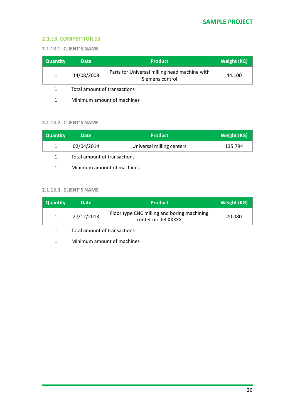#### <span id="page-23-0"></span>**2.1.13. COMPETITOR 13**

#### **2.1.13.1. CLIENT'S NAME**

| <b>Quantity</b> | <b>Date</b> | <b>Product</b>                                                   | Weight (KG) |
|-----------------|-------------|------------------------------------------------------------------|-------------|
|                 | 14/08/2008  | Parts for Universal milling head machine with<br>Siemens control | 44.100      |

1 Total amount of transactions

1 Minimum amount of machines

# **2.1.13.2. CLIENT'S NAME**

| <b>Quantity</b> | <b>Date</b>                  | <b>Product</b>            | <b>Weight (KG)</b> |
|-----------------|------------------------------|---------------------------|--------------------|
|                 | 02/04/2014                   | Universal milling centers | 135.794            |
|                 | Total amount of transactions |                           |                    |

1 Minimum amount of machines

#### **2.1.13.3. CLIENT'S NAME**

| <b>Quantity</b> | <b>Date</b> | <b>Product</b>                                                    | Weight (KG) |
|-----------------|-------------|-------------------------------------------------------------------|-------------|
|                 | 27/12/2013  | Floor type CNC milling and boring machining<br>center model XXXXX | 70.080      |

1 Total amount of transactions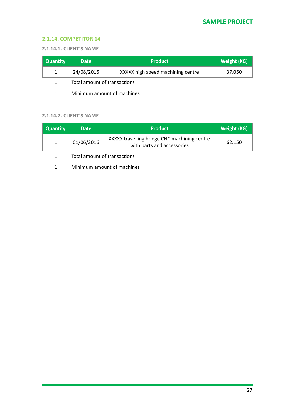#### <span id="page-24-0"></span>**2.1.14. COMPETITOR 14**

#### **2.1.14.1. CLIENT'S NAME**

| <b>Quantity</b> | <b>Date</b> | <b>Product</b>                    | <b>Weight (KG)</b> |
|-----------------|-------------|-----------------------------------|--------------------|
|                 | 24/08/2015  | XXXXX high speed machining centre | 37.050             |
|                 |             |                                   |                    |

1 Total amount of transactions

1 Minimum amount of machines

#### **2.1.14.2. CLIENT'S NAME**

| <b>Quantity</b> | <b>Date</b> | <b>Product</b>                                                             | <b>Weight (KG)</b> |
|-----------------|-------------|----------------------------------------------------------------------------|--------------------|
|                 | 01/06/2016  | XXXXX travelling bridge CNC machining centre<br>with parts and accessories | 62.150             |

1 Total amount of transactions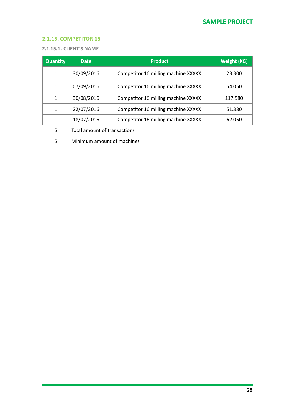# <span id="page-25-0"></span>**2.1.15. COMPETITOR 15**

#### **2.1.15.1. CLIENT'S NAME**

| <b>Quantity</b> | <b>Date</b> | <b>Product</b>                      | <b>Weight (KG)</b> |
|-----------------|-------------|-------------------------------------|--------------------|
| 1               | 30/09/2016  | Competitor 16 milling machine XXXXX | 23.300             |
| 1               | 07/09/2016  | Competitor 16 milling machine XXXXX | 54.050             |
| 1               | 30/08/2016  | Competitor 16 milling machine XXXXX | 117.580            |
| 1               | 22/07/2016  | Competitor 16 milling machine XXXXX | 51.380             |
| 1               | 18/07/2016  | Competitor 16 milling machine XXXXX | 62.050             |

5 Total amount of transactions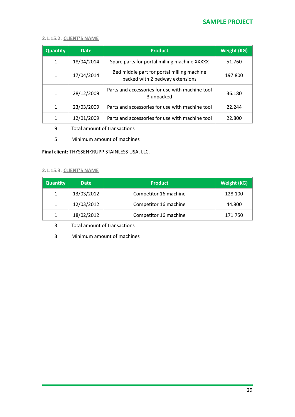#### **2.1.15.2. CLIENT'S NAME**

| <b>Quantity</b> | Date       | <b>Product</b>                                                                | <b>Weight (KG)</b> |
|-----------------|------------|-------------------------------------------------------------------------------|--------------------|
| 1               | 18/04/2014 | Spare parts for portal milling machine XXXXX                                  | 51.760             |
| 1               | 17/04/2014 | Bed middle part for portal milling machine<br>packed with 2 bedway extensions | 197.800            |
| $\mathbf{1}$    | 28/12/2009 | Parts and accessories for use with machine tool<br>3 unpacked                 | 36.180             |
| 1               | 23/03/2009 | Parts and accessories for use with machine tool                               | 22.244             |
| 1               | 12/01/2009 | Parts and accessories for use with machine tool                               | 22.800             |

- 9 Total amount of transactions
- 5 Minimum amount of machines

#### **Final client:** THYSSENKRUPP STAINLESS USA, LLC.

#### **2.1.15.3. CLIENT'S NAME**

| <b>Quantity</b> | <b>Date</b> | <b>Product</b>        | <b>Weight (KG)</b> |
|-----------------|-------------|-----------------------|--------------------|
| 1               | 13/03/2012  | Competitor 16 machine | 128.100            |
| $\mathbf{1}$    | 12/03/2012  | Competitor 16 machine | 44.800             |
| 1               | 18/02/2012  | Competitor 16 machine | 171.750            |

3 Total amount of transactions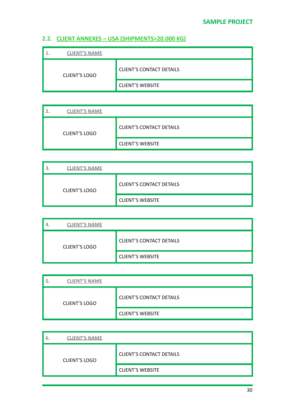# <span id="page-27-0"></span>2.2. CLIENT ANNEXES - USA (SHIPMENTS>20.000 KG)

| <b>CLIENT'S NAME</b> |                                 |
|----------------------|---------------------------------|
| <b>CLIENT'S LOGO</b> | <b>CLIENT'S CONTACT DETAILS</b> |
|                      | <b>CLIENT'S WEBSITE</b>         |

| <b>CLIENT'S NAME</b> |                                 |
|----------------------|---------------------------------|
| <b>CLIENT'S LOGO</b> | <b>CLIENT'S CONTACT DETAILS</b> |
|                      | <b>CLIENT'S WEBSITE</b>         |

| <b>CLIENT'S NAME</b> |                                 |
|----------------------|---------------------------------|
| <b>CLIENT'S LOGO</b> | <b>CLIENT'S CONTACT DETAILS</b> |
|                      | <b>CLIENT'S WEBSITE</b>         |

| <b>CLIENT'S NAME</b> |                                 |
|----------------------|---------------------------------|
| <b>CLIENT'S LOGO</b> | <b>CLIENT'S CONTACT DETAILS</b> |
|                      | <b>CLIENT'S WEBSITE</b>         |

| <b>CLIENT'S NAME</b> |                                 |  |  |
|----------------------|---------------------------------|--|--|
| <b>CLIENT'S LOGO</b> | <b>CLIENT'S CONTACT DETAILS</b> |  |  |
|                      | <b>CLIENT'S WEBSITE</b>         |  |  |

| <b>CLIENT'S NAME</b><br>6. |                                 |
|----------------------------|---------------------------------|
| <b>CLIENT'S LOGO</b>       | <b>CLIENT'S CONTACT DETAILS</b> |
|                            | <b>CLIENT'S WEBSITE</b>         |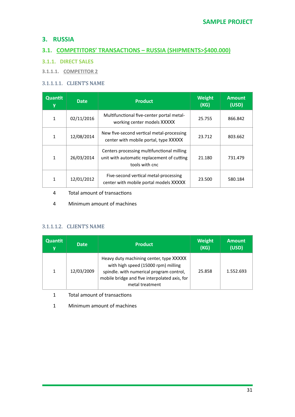# <span id="page-28-0"></span>**3. RUSSIA**

# <span id="page-28-1"></span>**3.1. COMPETITORS' TRANSACTIONS - RUSSIA (SHIPMENTS>\$400.000)**

# <span id="page-28-2"></span>**3.1.1. DIRECT SALES**

**3.1.1.1. COMPETITOR 2** 

## 3.1.1.1.1. CLIENT'S NAME

| <b>Quantit</b><br>y | <b>Date</b> | <b>Product</b>                                                                                             | <b>Weight</b><br>(KG) | <b>Amount</b><br>(USD) |
|---------------------|-------------|------------------------------------------------------------------------------------------------------------|-----------------------|------------------------|
| $\mathbf{1}$        | 02/11/2016  | Multifunctional five-center portal metal-<br>working center models XXXXX                                   | 25.755                | 866.842                |
| 1                   | 12/08/2014  | New five-second vertical metal-processing<br>center with mobile portal, type XXXXX                         | 23.712                | 803.662                |
| 1                   | 26/03/2014  | Centers processing multifunctional milling<br>unit with automatic replacement of cutting<br>tools with cnc | 21.180                | 731.479                |
| 1                   | 12/01/2012  | Five-second vertical metal-processing<br>center with mobile portal models XXXXX                            | 23.500                | 580.184                |

- 4 Total amount of transactions
- 4 Minimum amount of machines

# 3.1.1.1.2. CLIENT'S NAME

| <b>Quantit</b><br>y | <b>Date</b> | <b>Product</b>                                                                                                                                                                                 | <b>Weight</b><br>(KG) | <b>Amount</b><br>(USD) |
|---------------------|-------------|------------------------------------------------------------------------------------------------------------------------------------------------------------------------------------------------|-----------------------|------------------------|
| 1                   | 12/03/2009  | Heavy duty machining center, type XXXXX<br>with high speed (15000 rpm) milling<br>spindle. with numerical program control,<br>mobile bridge and five interpolated axis, for<br>metal treatment | 25.858                | 1.552.693              |

1 Total amount of transactions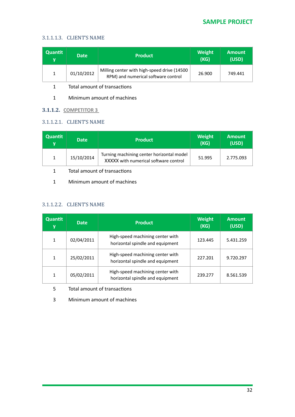#### 3.1.1.1.3. CLIENT'S NAME

| <b>Quantit</b><br>v | <b>Date</b> | <b>Product</b>                                                                     | <b>Weight</b><br>(KG) | <b>Amount</b><br>(USD) |
|---------------------|-------------|------------------------------------------------------------------------------------|-----------------------|------------------------|
|                     | 01/10/2012  | Milling center with high-speed drive (14500<br>RPM) and numerical software control | 26.900                | 749.441                |

1 Total amount of transactions

1 Minimum amount of machines

## **3.1.1.2. COMPETITOR 3**

#### 3.1.1.2.1. CLIENT'S NAME

| Quantit<br>v | <b>Date</b> | <b>Product</b>                                                                     | Weight<br>(KG) | <b>Amount</b><br>(USD) |
|--------------|-------------|------------------------------------------------------------------------------------|----------------|------------------------|
|              | 15/10/2014  | Turning machining center horizontal model<br>XXXXX with numerical software control | 51.995         | 2.775.093              |
|              |             |                                                                                    |                |                        |

1 Total amount of transactions

1 Minimum amount of machines

# 3.1.1.2.2. CLIENT'S NAME

| <b>Quantit</b><br>y | <b>Date</b> | <b>Product</b>                                                       | <b>Weight</b><br>(KG) | <b>Amount</b><br>(USD) |
|---------------------|-------------|----------------------------------------------------------------------|-----------------------|------------------------|
| 1                   | 02/04/2011  | High-speed machining center with<br>horizontal spindle and equipment | 123.445               | 5.431.259              |
| 1                   | 25/02/2011  | High-speed machining center with<br>horizontal spindle and equipment | 227.201               | 9.720.297              |
| 1                   | 05/02/2011  | High-speed machining center with<br>horizontal spindle and equipment | 239.277               | 8.561.539              |

5 Total amount of transactions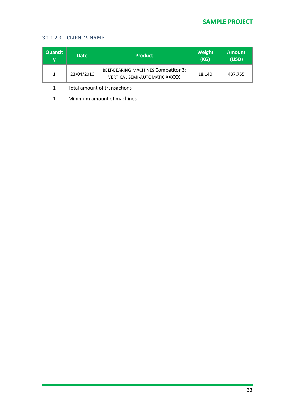# **SAMPLE PROJECT**

#### 3.1.1.2.3. CLIENT'S NAME

| <b>Quantit</b><br>v | <b>Date</b> | <b>Product</b>                                                                     | Weight<br>(KG) | <b>Amount</b><br>(USD) |
|---------------------|-------------|------------------------------------------------------------------------------------|----------------|------------------------|
|                     | 23/04/2010  | <b>BELT-BEARING MACHINES Competitor 3:</b><br><b>VERTICAL SEMI-AUTOMATIC XXXXX</b> | 18.140         | 437.755                |

1 Total amount of transactions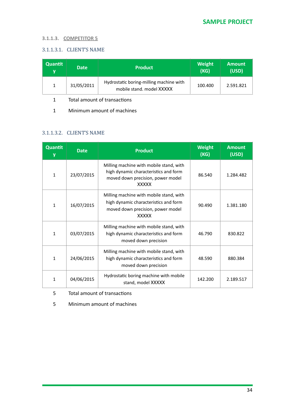#### **3.1.1.3. COMPETITOR 5**

#### 3.1.1.3.1. CLIENT'S NAME

| <b>Quantit</b><br>v | <b>Date</b> | <b>Product</b>                                                       | Weight<br>(KG) | <b>Amount</b><br>(USD) |
|---------------------|-------------|----------------------------------------------------------------------|----------------|------------------------|
|                     | 31/05/2011  | Hydrostatic boring-milling machine with<br>mobile stand, model XXXXX | 100.400        | 2.591.821              |

1 Total amount of transactions

1 Minimum amount of machines

#### 3.1.1.3.2. CLIENT'S NAME

| Quantit<br>у | <b>Date</b> | <b>Product</b>                                                                                                                        | <b>Weight</b><br>(KG) | <b>Amount</b><br>(USD) |
|--------------|-------------|---------------------------------------------------------------------------------------------------------------------------------------|-----------------------|------------------------|
| $\mathbf{1}$ | 23/07/2015  | Milling machine with mobile stand, with<br>high dynamic characteristics and form<br>moved down precision, power model<br><b>XXXXX</b> | 86.540                | 1.284.482              |
| $\mathbf{1}$ | 16/07/2015  | Milling machine with mobile stand, with<br>high dynamic characteristics and form<br>moved down precision, power model<br><b>XXXXX</b> | 90.490                | 1.381.180              |
| $\mathbf{1}$ | 03/07/2015  | Milling machine with mobile stand, with<br>high dynamic characteristics and form<br>moved down precision                              | 46.790                | 830.822                |
| $\mathbf{1}$ | 24/06/2015  | Milling machine with mobile stand, with<br>high dynamic characteristics and form<br>moved down precision                              | 48.590                | 880.384                |
| $\mathbf{1}$ | 04/06/2015  | Hydrostatic boring machine with mobile<br>stand, model XXXXX                                                                          | 142.200               | 2.189.517              |

5 Total amount of transactions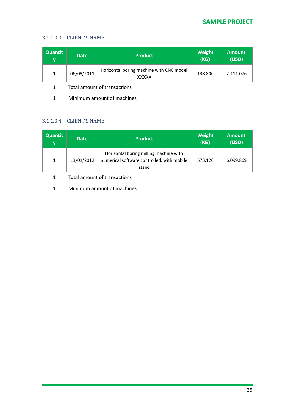#### 3.1.1.3.3. CLIENT'S NAME

| Quantit<br>۷ | <b>Date</b> | <b>Product</b>                                           | <b>Weight</b><br>(KG) | <b>Amount</b><br>(USD) |
|--------------|-------------|----------------------------------------------------------|-----------------------|------------------------|
|              | 06/09/2011  | Horizontal boring machine with CNC model<br><b>XXXXX</b> | 138.800               | 2.111.076              |

1 Total amount of transactions

1 Minimum amount of machines

# 3.1.1.3.4. CLIENT'S NAME

| Quantit<br>y | <b>Date</b> | <b>Product</b>                                                                                | Weight<br>(KG) | <b>Amount</b><br>(USD) |
|--------------|-------------|-----------------------------------------------------------------------------------------------|----------------|------------------------|
| 1            | 13/01/2012  | Horizontal boring milling machine with<br>numerical software controlled, with mobile<br>stand | 573.120        | 6.099.869              |

1 Total amount of transactions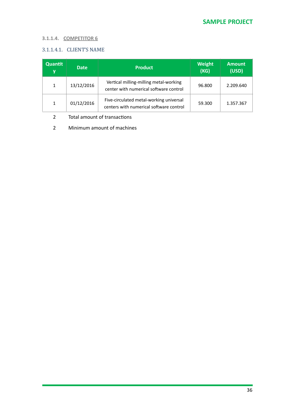#### **3.1.1.4. COMPETITOR 6**

# 3.1.1.4.1. CLIENT'S NAME

| <b>Quantit</b><br>V | <b>Date</b> | <b>Product</b>                                                                     | Weight<br>(KG) | <b>Amount</b><br>(USD) |
|---------------------|-------------|------------------------------------------------------------------------------------|----------------|------------------------|
|                     | 13/12/2016  | Vertical milling-milling metal-working<br>center with numerical software control   | 96.800         | 2.209.640              |
|                     | 01/12/2016  | Five-circulated metal-working universal<br>centers with numerical software control | 59.300         | 1.357.367              |

# 2 Total amount of transactions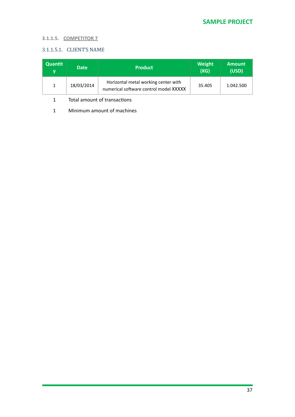## **3.1.1.5. COMPETITOR 7**

# 3.1.1.5.1. CLIENT'S NAME

| Quantit<br>v | <b>Date</b> | <b>Product</b>                                                                 | Weight<br>(KG) | <b>Amount</b><br>(USD) |
|--------------|-------------|--------------------------------------------------------------------------------|----------------|------------------------|
|              | 18/03/2014  | Horizontal metal working center with<br>numerical software control model XXXXX | 35.405         | 1.042.500              |

#### 1 Total amount of transactions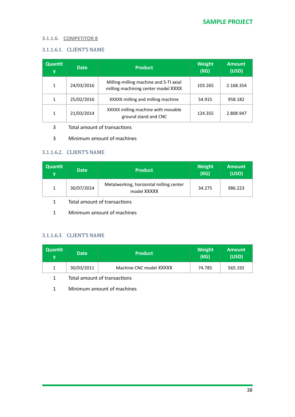#### **3.1.1.6. COMPETITOR 8**

#### 3.1.1.6.1. CLIENT'S NAME

| Quantit<br>y | <b>Date</b> | <b>Product</b>                                                                | <b>Weight</b><br>(KG) | <b>Amount</b><br>(USD) |
|--------------|-------------|-------------------------------------------------------------------------------|-----------------------|------------------------|
| 1            | 24/03/2016  | Milling-milling machine and 5-TI axial<br>milling machining center model XXXX | 103.265               | 2.168.354              |
| 1            | 25/02/2016  | XXXXX milling and milling machine                                             | 54.915                | 958.182                |
| 1            | 21/03/2014  | XXXXX milling machine with movable<br>ground stand and CNC                    | 124.355               | 2.808.947              |

#### 3 Total amount of transactions

3 Minimum amount of machines

#### 3.1.1.6.2. CLIENT'S NAME

| <b>Quantit</b><br>v | <b>Date</b> | <b>Product</b>                                         | <b>Weight</b><br>(KG) | <b>Amount</b><br>(USD) |
|---------------------|-------------|--------------------------------------------------------|-----------------------|------------------------|
|                     | 30/07/2014  | Metalworking, horizontal milling center<br>model XXXXX | 34.275                | 986.223                |

- 1 Total amount of transactions
- 1 Minimum amount of machines

#### 3.1.1.6.3. CLIENT'S NAME

| <b>Quantit</b><br>v | <b>Date</b> | <b>Product</b>          | Weight<br>(KG) | <b>Amount</b><br>(USD) |
|---------------------|-------------|-------------------------|----------------|------------------------|
|                     | 30/03/2011  | Machine CNC model XXXXX | 74.785         | 565.192                |

1 Total amount of transactions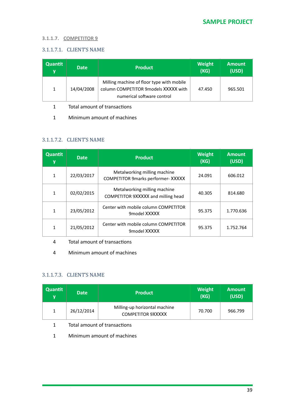#### **3.1.1.7. COMPETITOR 9**

### 3.1.1.7.1. CLIENT'S NAME

| Quantit<br>y | <b>Date</b> | <b>Product</b>                                                                                                  | Weight<br>(KG) | <b>Amount</b><br>(USD) |
|--------------|-------------|-----------------------------------------------------------------------------------------------------------------|----------------|------------------------|
| 1            | 14/04/2008  | Milling machine of floor type with mobile<br>column COMPETITOR 9models XXXXX with<br>numerical software control | 47.450         | 965.501                |

1 Total amount of transactions

1 Minimum amount of machines

### 3.1.1.7.2. CLIENT'S NAME

| <b>Quantit</b><br>y | <b>Date</b> | <b>Product</b>                                                            | <b>Weight</b><br>(KG) | <b>Amount</b><br>(USD) |
|---------------------|-------------|---------------------------------------------------------------------------|-----------------------|------------------------|
| 1                   | 22/03/2017  | Metalworking milling machine<br><b>COMPETITOR 9marks performer- XXXXX</b> | 24.091                | 606.012                |
| 1                   | 02/02/2015  | Metalworking milling machine<br>COMPETITOR 9XXXXX and milling head        | 40.305                | 814.680                |
| 1                   | 23/05/2012  | Center with mobile column COMPETITOR<br>9model XXXXX                      | 95.375                | 1.770.636              |
| 1                   | 21/05/2012  | Center with mobile column COMPETITOR<br>9model XXXXX                      | 95.375                | 1.752.764              |

#### 4 Total amount of transactions

4 Minimum amount of machines

### 3.1.1.7.3. CLIENT'S NAME

| Quantit<br>V | <b>Date</b> | <b>Product</b>                                            | Weight<br>(KG) | <b>Amount</b><br>(USD) |
|--------------|-------------|-----------------------------------------------------------|----------------|------------------------|
|              | 26/12/2014  | Milling-up horizontal machine<br><b>COMPETITOR 9XXXXX</b> | 70.700         | 966.799                |

### 1 Total amount of transactions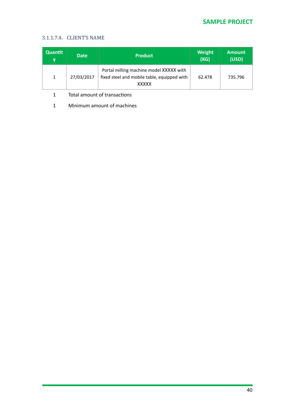# **SAMPLE PROJECT**

### 3.1.1.7.4. CLIENT'S NAME

| Quantit<br>۷ | <b>Date</b> | <b>Product</b>                                                                                         | <b>Weight</b><br>(KG) | <b>Amount</b><br>(USD) |
|--------------|-------------|--------------------------------------------------------------------------------------------------------|-----------------------|------------------------|
|              | 27/03/2017  | Portal milling machine model XXXXX with<br>fixed steel and mobile table, equipped with<br><b>XXXXX</b> | 62.478                | 735.796                |

1 Total amount of transactions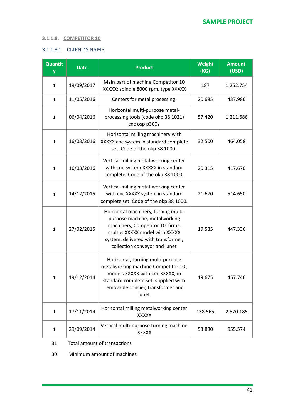### **3.1.1.8. COMPETITOR 10**

### 3.1.1.8.1. CLIENT'S NAME

| Quantit<br>y | <b>Date</b> | <b>Product</b>                                                                                                                                                                                                    | <b>Weight</b><br>(KG) | <b>Amount</b><br>(USD) |
|--------------|-------------|-------------------------------------------------------------------------------------------------------------------------------------------------------------------------------------------------------------------|-----------------------|------------------------|
| $\mathbf{1}$ | 19/09/2017  | Main part of machine Competitor 10<br>XXXXX: spindle 8000 rpm, type XXXXX                                                                                                                                         | 187                   | 1.252.754              |
| $\mathbf{1}$ | 11/05/2016  | Centers for metal processing:                                                                                                                                                                                     | 20.685                | 437.986                |
| $\mathbf{1}$ | 06/04/2016  | Horizontal multi-purpose metal-<br>processing tools (code okp 38 1021)<br>cnc osp p300s                                                                                                                           | 57.420                | 1.211.686              |
| $\mathbf{1}$ | 16/03/2016  | Horizontal milling machinery with<br>XXXXX cnc system in standard complete<br>set. Code of the okp 38 1000.                                                                                                       | 32.500                | 464.058                |
| $\mathbf{1}$ | 16/03/2016  | Vertical-milling metal-working center<br>with cnc-system XXXXX in standard<br>complete. Code of the okp 38 1000.                                                                                                  | 20.315                | 417.670                |
| $\mathbf{1}$ | 14/12/2015  | Vertical-milling metal-working center<br>with cnc XXXXX system in standard<br>complete set. Code of the okp 38 1000.                                                                                              | 21.670                | 514.650                |
| $\mathbf{1}$ | 27/02/2015  | Horizontal machinery, turning multi-<br>purpose machine, metalworking<br>machinery, Competitor 10 firms,<br>multus XXXXX model with XXXXX<br>system, delivered with transformer,<br>collection conveyor and lunet | 19.585                | 447.336                |
| $\mathbf{1}$ | 19/12/2014  | Horizontal, turning multi-purpose<br>metalworking machine Competitor 10,<br>models XXXXX with cnc XXXXX, in<br>standard complete set, supplied with<br>removable concier, transformer and<br>lunet                | 19.675                | 457.746                |
| $\mathbf{1}$ | 17/11/2014  | Horizontal milling metalworking center<br><b>XXXXX</b>                                                                                                                                                            | 138.565               | 2.570.185              |
| 1            | 29/09/2014  | Vertical multi-purpose turning machine<br><b>XXXXX</b>                                                                                                                                                            | 53.880                | 955.574                |

31 Total amount of transactions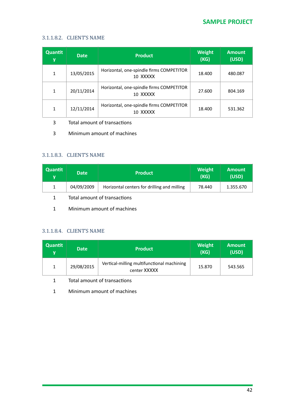### 3.1.1.8.2. CLIENT'S NAME

| Quantit<br>y | <b>Date</b> | <b>Product</b>                                       | <b>Weight</b><br>(KG) | <b>Amount</b><br>(USD) |
|--------------|-------------|------------------------------------------------------|-----------------------|------------------------|
| 1            | 13/05/2015  | Horizontal, one-spindle firms COMPETITOR<br>10 XXXXX | 18.400                | 480.087                |
| 1            | 20/11/2014  | Horizontal, one-spindle firms COMPETITOR<br>10 XXXXX | 27.600                | 804.169                |
| 1            | 12/11/2014  | Horizontal, one-spindle firms COMPETITOR<br>10 XXXXX | 18.400                | 531.362                |

- 3 Total amount of transactions
- 3 Minimum amount of machines

### 3.1.1.8.3. CLIENT'S NAME

| <b>Quantit</b><br>v | <b>Date</b>                  | <b>Product</b>                              | Weight<br>(KG) | <b>Amount</b><br>(USD) |
|---------------------|------------------------------|---------------------------------------------|----------------|------------------------|
|                     | 04/09/2009                   | Horizontal centers for drilling and milling | 78.440         | 1.355.670              |
|                     | Total amount of transactions |                                             |                |                        |

1 Minimum amount of machines

### 3.1.1.8.4. CLIENT'S NAME

| <b>Quantit</b><br>v | <b>Date</b> | <b>Product</b>                                             | <b>Weight</b><br>(KG) | <b>Amount</b><br>(USD) |
|---------------------|-------------|------------------------------------------------------------|-----------------------|------------------------|
|                     | 29/08/2015  | Vertical-milling multifunctional machining<br>center XXXXX | 15.870                | 543.565                |

1 Total amount of transactions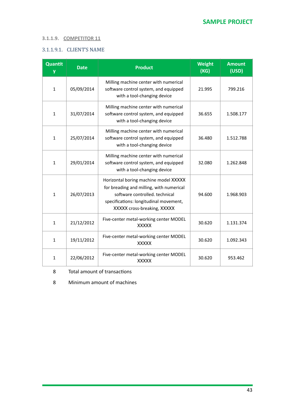### **3.1.1.9. COMPETITOR 11**

### 3.1.1.9.1. CLIENT'S NAME

| Quantit<br>y | <b>Date</b> | <b>Product</b>                                                                                                                                                                               | <b>Weight</b><br>(KG) | <b>Amount</b><br>(USD) |
|--------------|-------------|----------------------------------------------------------------------------------------------------------------------------------------------------------------------------------------------|-----------------------|------------------------|
| $\mathbf{1}$ | 05/09/2014  | Milling machine center with numerical<br>software control system, and equipped<br>with a tool-changing device                                                                                | 21.995                | 799.216                |
| $\mathbf{1}$ | 31/07/2014  | Milling machine center with numerical<br>software control system, and equipped<br>with a tool-changing device                                                                                | 36.655                | 1.508.177              |
| $\mathbf{1}$ | 25/07/2014  | Milling machine center with numerical<br>software control system, and equipped<br>with a tool-changing device                                                                                | 36.480                | 1.512.788              |
| $\mathbf{1}$ | 29/01/2014  | Milling machine center with numerical<br>software control system, and equipped<br>with a tool-changing device                                                                                | 32.080                | 1.262.848              |
| $\mathbf{1}$ | 26/07/2013  | Horizontal boring machine model XXXXX<br>for breading and milling, with numerical<br>software controlled, technical<br>specifications: longitudinal movement,<br>XXXXX cross-breaking, XXXXX | 94.600                | 1.968.903              |
| $\mathbf{1}$ | 21/12/2012  | Five-center metal-working center MODEL<br><b>XXXXX</b>                                                                                                                                       | 30.620                | 1.131.374              |
| $\mathbf{1}$ | 19/11/2012  | Five-center metal-working center MODEL<br><b>XXXXX</b>                                                                                                                                       | 30.620                | 1.092.343              |
| $\mathbf{1}$ | 22/06/2012  | Five-center metal-working center MODEL<br><b>XXXXX</b>                                                                                                                                       | 30.620                | 953.462                |

8 Total amount of transactions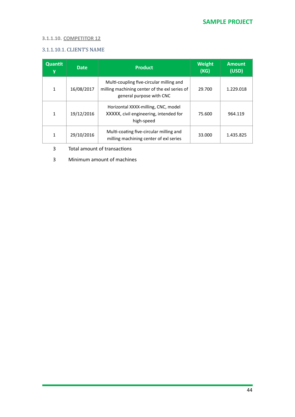### **3.1.1.10. COMPETITOR 12**

### 3.1.1.10.1. CLIENT'S NAME

| <b>Quantit</b><br>y | <b>Date</b> | <b>Product</b>                                                                                                        | <b>Weight</b><br>(KG) | <b>Amount</b><br>(USD) |
|---------------------|-------------|-----------------------------------------------------------------------------------------------------------------------|-----------------------|------------------------|
| $\mathbf{1}$        | 16/08/2017  | Multi-coupling five-circular milling and<br>milling machining center of the exl series of<br>general purpose with CNC | 29.700                | 1.229.018              |
| 1                   | 19/12/2016  | Horizontal XXXX-milling, CNC, model<br>XXXXX, civil engineering, intended for<br>high-speed                           | 75.600                | 964.119                |
| 1                   | 29/10/2016  | Multi-coating five-circular milling and<br>milling machining center of exl series                                     | 33.000                | 1.435.825              |

#### 3 Total amount of transactions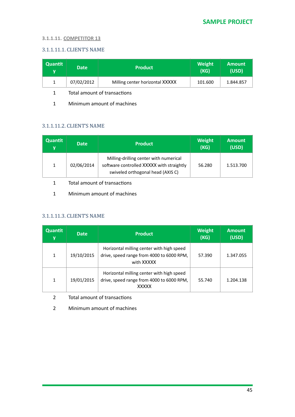#### **3.1.1.11. COMPETITOR 13**

### 3.1.1.11.1. CLIENT'S NAME

| Quantit<br>v | <b>Date</b>                  | <b>Product</b>                  | <b>Weight</b><br>(KG) | <b>Amount</b><br>(USD) |
|--------------|------------------------------|---------------------------------|-----------------------|------------------------|
|              | 07/02/2012                   | Milling center horizontal XXXXX | 101.600               | 1.844.857              |
|              | Total amount of transactions |                                 |                       |                        |

1 Minimum amount of machines

### 3.1.1.11.2. CLIENT'S NAME

| <b>Quantit</b><br>۷ | <b>Date</b> | <b>Product</b>                                                                                                           | <b>Weight</b><br>(KG) | <b>Amount</b><br>(USD) |
|---------------------|-------------|--------------------------------------------------------------------------------------------------------------------------|-----------------------|------------------------|
|                     | 02/06/2014  | Milling-drilling center with numerical<br>software controlled XXXXX with straightly<br>swiveled orthogonal head (AXIS C) | 56.280                | 1.513.700              |

1 Total amount of transactions

1 Minimum amount of machines

### 3.1.1.11.3. CLIENT'S NAME

| Quantit<br>y | <b>Date</b> | <b>Product</b>                                                                                         | <b>Weight</b><br>(KG) | <b>Amount</b><br>(USD) |
|--------------|-------------|--------------------------------------------------------------------------------------------------------|-----------------------|------------------------|
| $\mathbf{1}$ | 19/10/2015  | Horizontal milling center with high speed<br>drive, speed range from 4000 to 6000 RPM,<br>with XXXXX   | 57.390                | 1.347.055              |
| 1            | 19/01/2015  | Horizontal milling center with high speed<br>drive, speed range from 4000 to 6000 RPM,<br><b>XXXXX</b> | 55.740                | 1.204.138              |

- 2 Total amount of transactions
- 2 Minimum amount of machines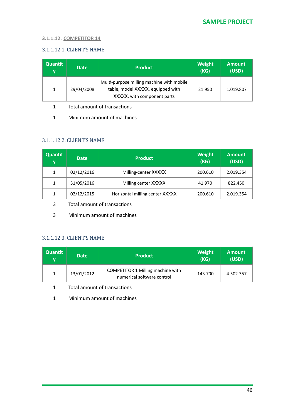#### **3.1.1.12. COMPETITOR 14**

### 3.1.1.12.1. CLIENT'S NAME

| Quantit<br>۷ | <b>Date</b> | <b>Product</b>                                                                                                | <b>Weight</b><br>(KG) | <b>Amount</b><br>(USD) |
|--------------|-------------|---------------------------------------------------------------------------------------------------------------|-----------------------|------------------------|
|              | 29/04/2008  | Multi-purpose milling machine with mobile<br>table, model XXXXX, equipped with<br>XXXXX, with component parts | 21.950                | 1.019.807              |

1 Total amount of transactions

1 Minimum amount of machines

### 3.1.1.12.2. CLIENT'S NAME

| <b>Quantit</b><br>y | <b>Date</b> | <b>Product</b>                  | <b>Weight</b><br>(KG) | <b>Amount</b><br>(USD) |
|---------------------|-------------|---------------------------------|-----------------------|------------------------|
| 1                   | 02/12/2016  | Milling-center XXXXX            | 200.610               | 2.019.354              |
| 1                   | 31/05/2016  | Milling center XXXXX            | 41.970                | 822.450                |
|                     | 02/12/2015  | Horizontal milling center XXXXX | 200.610               | 2.019.354              |

3 Total amount of transactions

3 Minimum amount of machines

#### 3.1.1.12.3. CLIENT'S NAME

| <b>Quantit</b><br>v | <b>Date</b> | <b>Product</b>                                                  | <b>Weight</b><br>(KG) | <b>Amount</b><br>(USD) |
|---------------------|-------------|-----------------------------------------------------------------|-----------------------|------------------------|
|                     | 13/01/2012  | COMPETITOR 1 Milling machine with<br>numerical software control | 143.700               | 4.502.357              |

1 Total amount of transactions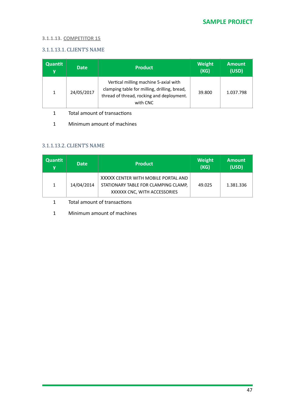#### **3.1.1.13. COMPETITOR 15**

### 3.1.1.13.1. CLIENT'S NAME

| <b>Quantit</b><br>۷ | <b>Date</b> | <b>Product</b>                                                                                                                                 | <b>Weight</b><br>(KG) | <b>Amount</b><br>(USD) |
|---------------------|-------------|------------------------------------------------------------------------------------------------------------------------------------------------|-----------------------|------------------------|
| 1                   | 24/05/2017  | Vertical milling machine 5-axial with<br>clamping table for milling, drilling, bread,<br>thread of thread, rocking and deployment.<br>with CNC | 39.800                | 1.037.798              |

- 1 Total amount of transactions
- 1 Minimum amount of machines

#### 3.1.1.13.2. CLIENT'S NAME

| Quantit<br>۷ | <b>Date</b> | <b>Product</b>                                                                                              | <b>Weight</b><br>(KG) | <b>Amount</b><br>(USD) |
|--------------|-------------|-------------------------------------------------------------------------------------------------------------|-----------------------|------------------------|
|              | 14/04/2014  | XXXXX CENTER WITH MOBILE PORTAL AND<br>STATIONARY TABLE FOR CLAMPING CLAMP,<br>XXXXXX CNC, WITH ACCESSORIES | 49.025                | 1.381.336              |

- 1 Total amount of transactions
- 1 Minimum amount of machines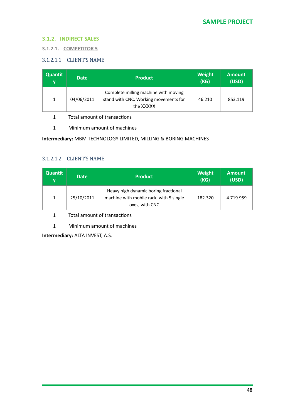#### **3.1.2. INDIRECT SALES**

**3.1.2.1. COMPETITOR 5** 

### 3.1.2.1.1. CLIENT'S NAME

| Quantit<br>v | <b>Date</b> | <b>Product</b>                                                                             | Weight<br>(KG) | <b>Amount</b><br>(USD) |
|--------------|-------------|--------------------------------------------------------------------------------------------|----------------|------------------------|
| 1            | 04/06/2011  | Complete milling machine with moving<br>stand with CNC. Working movements for<br>the XXXXX | 46.210         | 853.119                |

- 1 Total amount of transactions
- 1 Minimum amount of machines

### **Intermediary:** MBM TECHNOLOGY LIMITED, MILLING & BORING MACHINES

### 3.1.2.1.2. CLIENT'S NAME

| <b>Quantit</b><br>V | <b>Date</b> | <b>Product</b>                                                                                    | <b>Weight</b><br>(KG) | <b>Amount</b><br>(USD) |
|---------------------|-------------|---------------------------------------------------------------------------------------------------|-----------------------|------------------------|
| 1                   | 25/10/2011  | Heavy high dynamic boring fractional<br>machine with mobile rack, with 5 single<br>oxes, with CNC | 182.320               | 4.719.959              |

1 Total amount of transactions

1 Minimum amount of machines

**Intermediary: ALTA INVEST, A.S.**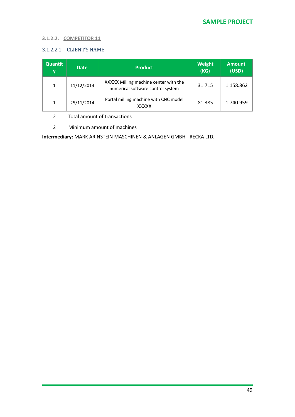#### **3.1.2.2. COMPETITOR 11**

### 3.1.2.2.1. CLIENT'S NAME

| Quantit<br>y | <b>Date</b> | <b>Product</b>                                                             | <b>Weight</b><br>(KG) | <b>Amount</b><br>(USD) |
|--------------|-------------|----------------------------------------------------------------------------|-----------------------|------------------------|
| 1            | 11/12/2014  | XXXXX Milling machine center with the<br>numerical software control system | 31.715                | 1.158.862              |
| $\mathbf{1}$ | 25/11/2014  | Portal milling machine with CNC model<br><b>XXXXX</b>                      | 81.385                | 1.740.959              |

2 Total amount of transactions

2 Minimum amount of machines

**Intermediary:** MARK ARINSTEIN MASCHINEN & ANLAGEN GMBH - RECKA LTD.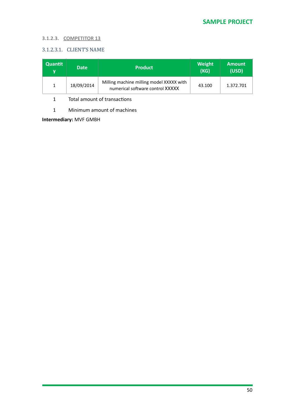### **3.1.2.3. COMPETITOR 13**

### 3.1.2.3.1. CLIENT'S NAME

| <b>Quantit</b><br>v | <b>Date</b> | <b>Product</b>                                                               | <b>Weight</b><br>(KG) | <b>Amount</b><br>(USD) |
|---------------------|-------------|------------------------------------------------------------------------------|-----------------------|------------------------|
|                     | 18/09/2014  | Milling machine milling model XXXXX with<br>numerical software control XXXXX | 43.100                | 1.372.701              |

#### 1 Total amount of transactions

1 Minimum amount of machines

**Intermediary:** MVF GMBH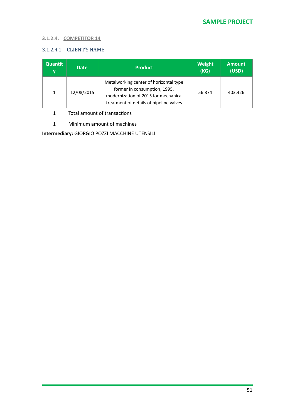### **3.1.2.4. COMPETITOR 14**

### 3.1.2.4.1. CLIENT'S NAME

| Quantit<br>y | <b>Date</b> | <b>Product</b>                                                                                                                                            | <b>Weight</b><br>(KG) | <b>Amount</b><br>(USD) |
|--------------|-------------|-----------------------------------------------------------------------------------------------------------------------------------------------------------|-----------------------|------------------------|
|              | 12/08/2015  | Metalworking center of horizontal type<br>former in consumption, 1995,<br>modernization of 2015 for mechanical<br>treatment of details of pipeline valves | 56.874                | 403.426                |

1 Total amount of transactions

1 Minimum amount of machines

**Intermediary:** GIORGIO POZZI MACCHINE UTENSILI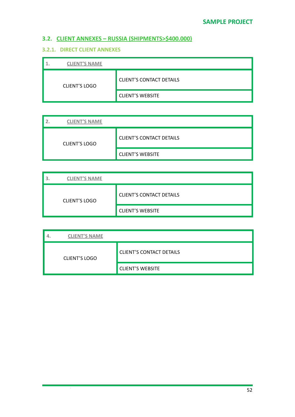# **3.2. CLIENT ANNEXES - RUSSIA (SHIPMENTS>\$400.000)**

### **3.2.1. DIRECT CLIENT ANNEXES**

| <b>CLIENT'S NAME</b> |                                 |
|----------------------|---------------------------------|
| <b>CLIENT'S LOGO</b> | <b>CLIENT'S CONTACT DETAILS</b> |
|                      | <b>CLIENT'S WEBSITE</b>         |

| <b>CLIENT'S NAME</b> |                                 |
|----------------------|---------------------------------|
| <b>CLIENT'S LOGO</b> | <b>CLIENT'S CONTACT DETAILS</b> |
|                      | <b>CLIENT'S WEBSITE</b>         |

| <b>CLIENT'S NAME</b> |                                 |
|----------------------|---------------------------------|
| <b>CLIENT'S LOGO</b> | <b>CLIENT'S CONTACT DETAILS</b> |
|                      | <b>CLIENT'S WEBSITE</b>         |

| <b>CLIENT'S NAME</b> |                                 |
|----------------------|---------------------------------|
| <b>CLIENT'S LOGO</b> | <b>CLIENT'S CONTACT DETAILS</b> |
|                      | <b>CLIENT'S WEBSITE</b>         |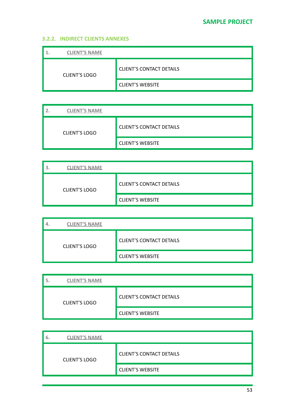### **3.2.2. INDIRECT CLIENTS ANNEXES**

| <b>CLIENT'S NAME</b> |                                 |
|----------------------|---------------------------------|
| <b>CLIENT'S LOGO</b> | <b>CLIENT'S CONTACT DETAILS</b> |
|                      | <b>CLIENT'S WEBSITE</b>         |

| <b>CLIENT'S NAME</b> |                                 |
|----------------------|---------------------------------|
| <b>CLIENT'S LOGO</b> | <b>CLIENT'S CONTACT DETAILS</b> |
|                      | <b>CLIENT'S WEBSITE</b>         |

| <b>CLIENT'S NAME</b> |                                 |
|----------------------|---------------------------------|
| <b>CLIENT'S LOGO</b> | <b>CLIENT'S CONTACT DETAILS</b> |
|                      | <b>CLIENT'S WEBSITE</b>         |

| <b>CLIENT'S NAME</b> |                                 |
|----------------------|---------------------------------|
| <b>CLIENT'S LOGO</b> | <b>CLIENT'S CONTACT DETAILS</b> |
|                      | <b>CLIENT'S WEBSITE</b>         |

| <b>CLIENT'S NAME</b> |                                 |
|----------------------|---------------------------------|
| <b>CLIENT'S LOGO</b> | <b>CLIENT'S CONTACT DETAILS</b> |
|                      | <b>CLIENT'S WEBSITE</b>         |

| <b>CLIENT'S NAME</b><br>6. |                                 |
|----------------------------|---------------------------------|
| <b>CLIENT'S LOGO</b>       | <b>CLIENT'S CONTACT DETAILS</b> |
|                            | <b>CLIENT'S WEBSITE</b>         |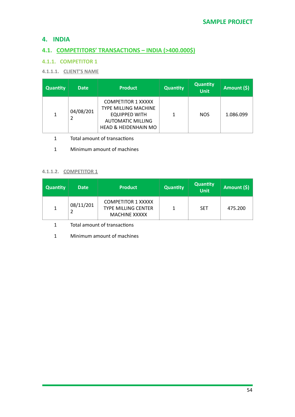# **4. INDIA**

# **4.1. COMPETITORS' TRANSACTIONS - INDIA (>400.000\$)**

### **4.1.1. COMPETITOR 1**

### **4.1.1.1.** CLIENT'S NAME

| <b>Quantity</b> | <b>Date</b> | <b>Product</b>                                                                                                                           | <b>Quantity</b> | <b>Quantity</b><br><b>Unit</b> | Amount (\$) |
|-----------------|-------------|------------------------------------------------------------------------------------------------------------------------------------------|-----------------|--------------------------------|-------------|
| 1               | 04/08/201   | <b>COMPETITOR 1 XXXXX</b><br><b>TYPE MILLING MACHINE</b><br>EQUIPPED WITH<br><b>AUTOMATIC MILLING</b><br><b>HEAD &amp; HEIDENHAIN MO</b> |                 | <b>NOS</b>                     | 1.086.099   |

- 1 Total amount of transactions
- 1 Minimum amount of machines

### **4.1.1.2. COMPETITOR 1**

| <b>Quantity</b> | <b>Date</b> | <b>Product</b>                                                                  | <b>Quantity</b> | <b>Quantity</b><br>Unit | Amount (\$) |
|-----------------|-------------|---------------------------------------------------------------------------------|-----------------|-------------------------|-------------|
|                 | 08/11/201   | <b>COMPETITOR 1 XXXXX</b><br><b>TYPE MILLING CENTER</b><br><b>MACHINE XXXXX</b> |                 | <b>SET</b>              | 475.200     |

1 Total amount of transactions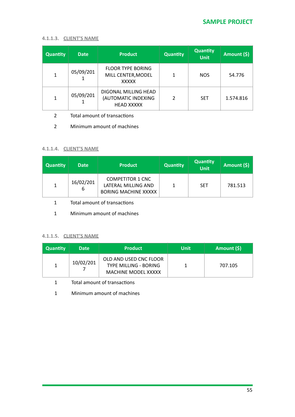### **4.1.1.3. CLIENT'S NAME**

| <b>Quantity</b> | <b>Date</b> | <b>Product</b>                                                   | Quantity | <b>Quantity</b><br><b>Unit</b> | Amount (\$) |
|-----------------|-------------|------------------------------------------------------------------|----------|--------------------------------|-------------|
| 1               | 05/09/201   | <b>FLOOR TYPE BORING</b><br>MILL CENTER, MODEL<br><b>XXXXX</b>   | 1        | <b>NOS</b>                     | 54.776      |
| 1               | 05/09/201   | DIGONAL MILLING HEAD<br>(AUTOMATIC INDEXING<br><b>HEAD XXXXX</b> | 2        | <b>SET</b>                     | 1.574.816   |

- 2 Total amount of transactions
- 2 Minimum amount of machines

### **4.1.1.4. CLIENT'S NAME**

| <b>Quantity</b> | <b>Date</b>    | <b>Product</b>                                                                | <b>Quantity</b> | <b>Quantity</b><br>Unit <sup>1</sup> | Amount (\$) |
|-----------------|----------------|-------------------------------------------------------------------------------|-----------------|--------------------------------------|-------------|
|                 | 16/02/201<br>6 | <b>COMPETITOR 1 CNC</b><br>LATERAL MILLING AND<br><b>BORING MACHINE XXXXX</b> |                 | <b>SET</b>                           | 781.513     |

- 1 Total amount of transactions
- 1 Minimum amount of machines

### **4.1.1.5. CLIENT'S NAME**

| <b>Quantity</b> | <b>Date</b> | <b>Product</b>                                                                       | Unit | Amount (\$) |
|-----------------|-------------|--------------------------------------------------------------------------------------|------|-------------|
|                 | 10/02/201   | OLD AND USED CNC FLOOR<br><b>TYPE MILLING - BORING</b><br><b>MACHINE MODEL XXXXX</b> |      | 707.105     |

1 Total amount of transactions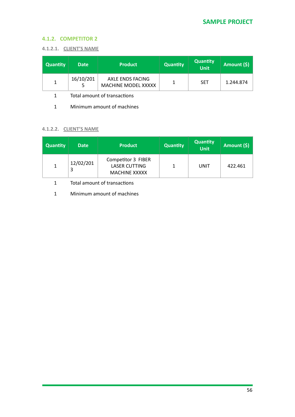### **4.1.2. COMPETITOR 2**

#### **4.1.2.1. CLIENT'S NAME**

| <b>Quantity</b> | <b>Date</b> | <b>Product</b>                                 | <b>Quantity</b> | <b>Quantity</b><br><b>Unit</b> | Amount (\$) |
|-----------------|-------------|------------------------------------------------|-----------------|--------------------------------|-------------|
|                 | 16/10/201   | AXLE ENDS FACING<br><b>MACHINE MODEL XXXXX</b> |                 | <b>SET</b>                     | 1.244.874   |

1 Total amount of transactions

1 Minimum amount of machines

### **4.1.2.2. CLIENT'S NAME**

| <b>Quantity</b> | <b>Date</b> | <b>Product</b>                                                     | <b>Quantity</b> | <b>Quantity</b><br>Unit | Amount (\$) |
|-----------------|-------------|--------------------------------------------------------------------|-----------------|-------------------------|-------------|
|                 | 12/02/201   | Competitor 3 FIBER<br><b>LASER CUTTING</b><br><b>MACHINE XXXXX</b> |                 | UNIT                    | 422.461     |

1 Total amount of transactions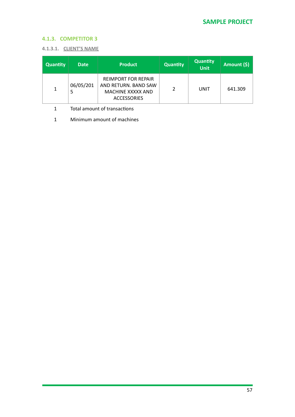### **4.1.3. COMPETITOR 3**

#### **4.1.3.1. CLIENT'S NAME**

| <b>Quantity</b> | <b>Date</b>    | <b>Product</b>                                                                                | <b>Quantity</b> | <b>Quantity</b><br>Unit | Amount (\$) |
|-----------------|----------------|-----------------------------------------------------------------------------------------------|-----------------|-------------------------|-------------|
| 1               | 06/05/201<br>5 | <b>REIMPORT FOR REPAIR</b><br>AND RETURN. BAND SAW<br>MACHINE XXXXX AND<br><b>ACCESSORIES</b> | າ               | UNIT                    | 641.309     |

1 Total amount of transactions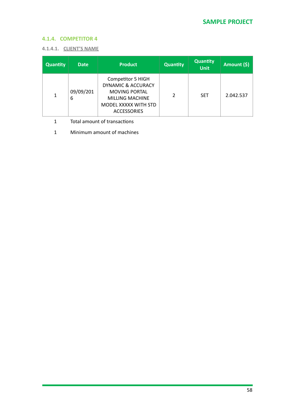### **4.1.4. COMPETITOR 4**

#### **4.1.4.1. CLIENT'S NAME**

| <b>Quantity</b> | <b>Date</b>    | <b>Product</b>                                                                                                                                     | <b>Quantity</b> | <b>Quantity</b><br><b>Unit</b> | Amount (\$) |
|-----------------|----------------|----------------------------------------------------------------------------------------------------------------------------------------------------|-----------------|--------------------------------|-------------|
| 1               | 09/09/201<br>6 | Competitor 5 HIGH<br><b>DYNAMIC &amp; ACCURACY</b><br><b>MOVING PORTAL</b><br><b>MILLING MACHINE</b><br>MODEL XXXXX WITH STD<br><b>ACCESSORIES</b> | 2               | <b>SET</b>                     | 2.042.537   |

1 Total amount of transactions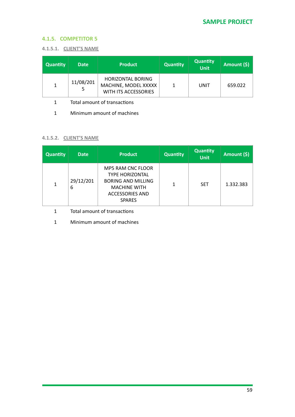### **4.1.5. COMPETITOR 5**

#### **4.1.5.1. CLIENT'S NAME**

| <b>Quantity</b> | <b>Date</b>    | <b>Product</b>                                                           | <b>Quantity</b> | <b>Quantity</b><br><b>Unit</b> | Amount (\$) |
|-----------------|----------------|--------------------------------------------------------------------------|-----------------|--------------------------------|-------------|
|                 | 11/08/201<br>5 | <b>HORIZONTAL BORING</b><br>MACHINE, MODEL XXXXX<br>WITH ITS ACCESSORIES |                 | UNIT                           | 659.022     |

1 Total amount of transactions

1 Minimum amount of machines

#### **4.1.5.2. CLIENT'S NAME**

| <b>Quantity</b> | <b>Date</b>    | <b>Product</b>                                                                                                                                    | <b>Quantity</b> | <b>Quantity</b><br><b>Unit</b> | Amount (\$) |
|-----------------|----------------|---------------------------------------------------------------------------------------------------------------------------------------------------|-----------------|--------------------------------|-------------|
| 1               | 29/12/201<br>6 | <b>MP5 RAM CNC FLOOR</b><br><b>TYPE HORIZONTAL</b><br><b>BORING AND MILLING</b><br><b>MACHINE WITH</b><br><b>ACCESSORIES AND</b><br><b>SPARES</b> | 1               | <b>SET</b>                     | 1.332.383   |

1 Total amount of transactions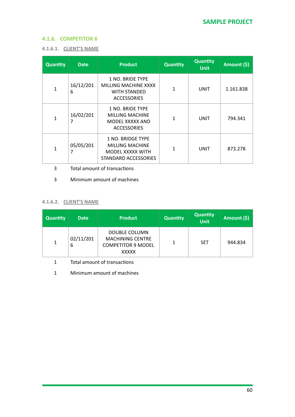### **4.1.6. COMPETITOR 6**

| <b>CLIENT'S NAME</b><br>4.1.6.1. |  |
|----------------------------------|--|
|----------------------------------|--|

| Quantity     | <b>Date</b>    | <b>Product</b>                                                                               | <b>Quantity</b> | <b>Quantity</b><br><b>Unit</b> | Amount (\$) |
|--------------|----------------|----------------------------------------------------------------------------------------------|-----------------|--------------------------------|-------------|
| $\mathbf{1}$ | 16/12/201<br>6 | 1 NO. BRIDE TYPE<br><b>MILLING MACHINE XXXX</b><br><b>WITH STANDED</b><br><b>ACCESSORIES</b> | 1               | UNIT                           | 1.161.838   |
| $\mathbf{1}$ | 16/02/201<br>7 | 1 NO. BRIDE TYPE<br><b>MILLING MACHINE</b><br>MODEL XXXXX AND<br><b>ACCESSORIES</b>          | 1               | <b>UNIT</b>                    | 794.341     |
| $\mathbf{1}$ | 05/05/201<br>7 | 1 NO. BRIDGE TYPE<br><b>MILLING MACHINE</b><br>MODEL XXXXX WITH<br>STANDARD ACCESSORIES      | 1               | UNIT                           | 873.278     |

- 3 Total amount of transactions
- 3 Minimum amount of machines

#### **4.1.6.2. CLIENT'S NAME**

| <b>Quantity</b> | <b>Date</b>    | <b>Product</b>                                                                               | <b>Quantity</b> | <b>Quantity</b><br><b>Unit</b> | Amount (\$) |
|-----------------|----------------|----------------------------------------------------------------------------------------------|-----------------|--------------------------------|-------------|
| $\mathbf{1}$    | 02/11/201<br>6 | <b>DOUBLE COLUMN</b><br><b>MACHINING CENTRE</b><br><b>COMPETITOR 9 MODEL</b><br><b>XXXXX</b> |                 | <b>SET</b>                     | 944.834     |

- 1 Total amount of transactions
- 1 Minimum amount of machines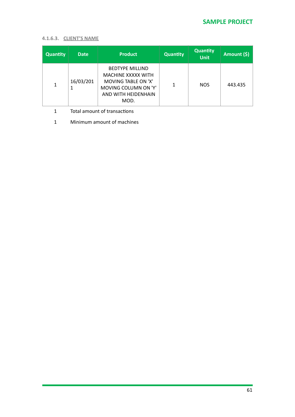### **4.1.6.3. CLIENT'S NAME**

| <b>Quantity</b> | <b>Date</b>    | <b>Product</b>                                                                                                             | <b>Quantity</b> | <b>Quantity</b><br><b>Unit</b> | <b>Amount (\$)</b> |
|-----------------|----------------|----------------------------------------------------------------------------------------------------------------------------|-----------------|--------------------------------|--------------------|
| 1               | 16/03/201<br>1 | <b>BEDTYPE MILLIND</b><br>MACHINE XXXXX WITH<br>MOVING TABLE ON 'X'<br>MOVING COLUMN ON 'Y'<br>AND WITH HEIDENHAIN<br>MOD. | 1               | NOS.                           | 443.435            |

1 Total amount of transactions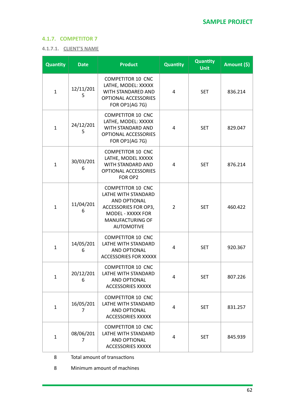### **4.1.7. COMPETITOR 7**

#### **4.1.7.1. CLIENT'S NAME**

| Quantity     | <b>Date</b>    | <b>Product</b>                                                                                                                                        | <b>Quantity</b> | <b>Quantity</b><br><b>Unit</b> | Amount (\$) |
|--------------|----------------|-------------------------------------------------------------------------------------------------------------------------------------------------------|-----------------|--------------------------------|-------------|
| $\mathbf{1}$ | 12/11/201<br>5 | <b>COMPETITOR 10 CNC</b><br>LATHE, MODEL: XXXXX<br>WITH STANDARED AND<br><b>OPTIONAL ACCESSORIES</b><br><b>FOR OP1(AG 7G)</b>                         | 4               | <b>SET</b>                     | 836.214     |
| $\mathbf{1}$ | 24/12/201<br>5 | <b>COMPETITOR 10 CNC</b><br>LATHE, MODEL: XXXXX<br>WITH STANDARD AND<br><b>OPTIONAL ACCESSORIES</b><br>FOR OP1(AG 7G)                                 | 4               | <b>SET</b>                     | 829.047     |
| $\mathbf{1}$ | 30/03/201<br>6 | <b>COMPETITOR 10 CNC</b><br>LATHE, MODEL XXXXX<br>WITH STANDARD AND<br>OPTIONAL ACCESSORIES<br>FOR OP2                                                | 4               | <b>SET</b>                     | 876.214     |
| $\mathbf{1}$ | 11/04/201<br>6 | <b>COMPETITOR 10 CNC</b><br>LATHE WITH STANDARD<br>AND OPTIONAL<br>ACCESSORIES FOR OP3,<br>MODEL - XXXXX FOR<br>MANUFACTURING OF<br><b>AUTOMOTIVE</b> | 2               | <b>SET</b>                     | 460.422     |
| $\mathbf{1}$ | 14/05/201<br>6 | <b>COMPETITOR 10 CNC</b><br>LATHE WITH STANDARD<br>AND OPTIONAL<br><b>ACCESSORIES FOR XXXXX</b>                                                       | 4               | <b>SET</b>                     | 920.367     |
| 1            | 20/12/201<br>6 | <b>COMPETITOR 10 CNC</b><br>LATHE WITH STANDARD<br>AND OPTIONAL<br><b>ACCESSORIES XXXXX</b>                                                           | 4               | <b>SET</b>                     | 807.226     |
| $\mathbf{1}$ | 16/05/201<br>7 | <b>COMPETITOR 10 CNC</b><br>LATHE WITH STANDARD<br>AND OPTIONAL<br><b>ACCESSORIES XXXXX</b>                                                           | 4               | <b>SET</b>                     | 831.257     |
| 1            | 08/06/201<br>7 | <b>COMPETITOR 10 CNC</b><br>LATHE WITH STANDARD<br>AND OPTIONAL<br><b>ACCESSORIES XXXXX</b>                                                           | 4               | <b>SET</b>                     | 845.939     |

8 Total amount of transactions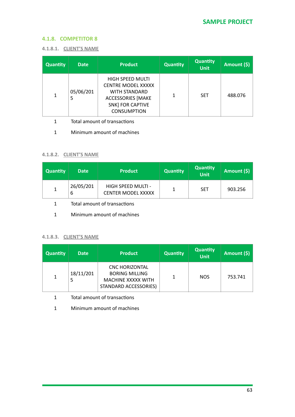### **4.1.8. COMPETITOR 8**

#### **4.1.8.1. CLIENT'S NAME**

| <b>Quantity</b> | <b>Date</b>    | <b>Product</b>                                                                                                                                            | <b>Quantity</b> | Quantity<br><b>Unit</b> | Amount (\$) |
|-----------------|----------------|-----------------------------------------------------------------------------------------------------------------------------------------------------------|-----------------|-------------------------|-------------|
| 1               | 05/06/201<br>5 | <b>HIGH SPEED MULTI</b><br><b>CENTRE MODEL XXXXX</b><br><b>WITH STANDARD</b><br><b>ACCESSORIES [MAKE</b><br><b>SNK] FOR CAPTIVE</b><br><b>CONSUMPTION</b> | 1               | <b>SET</b>              | 488.076     |

1 Total amount of transactions

1 Minimum amount of machines

### **4.1.8.2. CLIENT'S NAME**

| <b>Quantity</b> | <b>Date</b>    | <b>Product</b>                                  | <b>Quantity</b> | <b>Quantity</b><br>Unit | Amount $(\$)$ |
|-----------------|----------------|-------------------------------------------------|-----------------|-------------------------|---------------|
|                 | 26/05/201<br>ь | HIGH SPEED MULTI -<br><b>CENTER MODEL XXXXX</b> |                 | <b>SET</b>              | 903.256       |

- 1 Total amount of transactions
- 1 Minimum amount of machines

#### **4.1.8.3. CLIENT'S NAME**

| <b>Quantity</b> | <b>Date</b>    | <b>Product</b>                                                                                | <b>Quantity</b> | Quantity<br><b>Unit</b> | Amount (\$) |
|-----------------|----------------|-----------------------------------------------------------------------------------------------|-----------------|-------------------------|-------------|
| 1               | 18/11/201<br>5 | <b>CNC HORIZONTAL</b><br><b>BORING MILLING</b><br>MACHINE XXXXX WITH<br>STANDARD ACCESSORIES) |                 | <b>NOS</b>              | 753.741     |

1 Total amount of transactions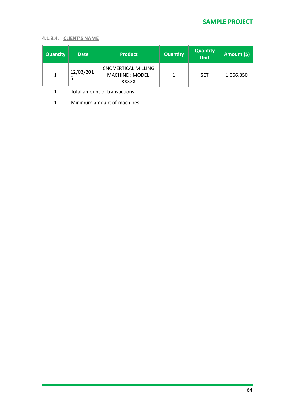### **4.1.8.4. CLIENT'S NAME**

| <b>Quantity</b> | <b>Date</b> | <b>Product</b>                                                  | <b>Quantity</b> | <b>Quantity</b><br>Unit | Amount (\$) |
|-----------------|-------------|-----------------------------------------------------------------|-----------------|-------------------------|-------------|
| 1               | 12/03/201   | <b>CNC VERTICAL MILLING</b><br>MACHINE : MODEL:<br><b>XXXXX</b> |                 | <b>SET</b>              | 1.066.350   |

1 Total amount of transactions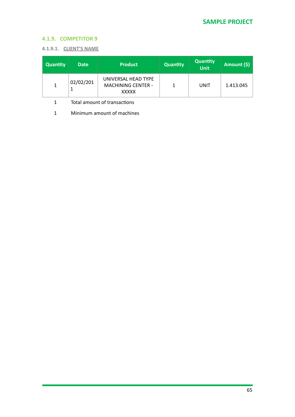# **4.1.9. COMPETITOR 9**

#### **4.1.9.1. CLIENT'S NAME**

| <b>Quantity</b> | <b>Date</b> | <b>Product</b>                                                   | <b>Quantity</b> | <b>Quantity</b><br><b>Unit</b> | Amount (\$) |
|-----------------|-------------|------------------------------------------------------------------|-----------------|--------------------------------|-------------|
|                 | 02/02/201   | UNIVERSAL HEAD TYPE<br><b>MACHINING CENTER -</b><br><b>XXXXX</b> |                 | UNIT                           | 1.413.045   |

1 Total amount of transactions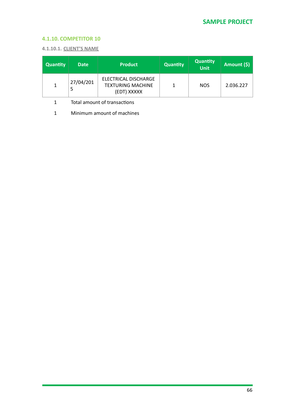### **4.1.10. COMPETITOR 10**

**4.1.10.1. CLIENT'S NAME** 

| <b>Quantity</b> | <b>Date</b> | <b>Product</b>                                                  | <b>Quantity</b> | <b>Quantity</b><br>Unit | Amount (\$) |
|-----------------|-------------|-----------------------------------------------------------------|-----------------|-------------------------|-------------|
|                 | 27/04/201   | ELECTRICAL DISCHARGE<br><b>TEXTURING MACHINE</b><br>(EDT) XXXXX |                 | <b>NOS</b>              | 2.036.227   |

1 Total amount of transactions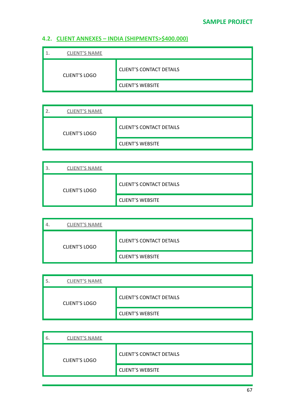# **4.2. CLIENT ANNEXES - INDIA (SHIPMENTS>\$400.000)**

| <b>CLIENT'S NAME</b> |                                 |
|----------------------|---------------------------------|
| <b>CLIENT'S LOGO</b> | <b>CLIENT'S CONTACT DETAILS</b> |
|                      | <b>CLIENT'S WEBSITE</b>         |

| <b>CLIENT'S NAME</b> |                                 |
|----------------------|---------------------------------|
| <b>CLIENT'S LOGO</b> | <b>CLIENT'S CONTACT DETAILS</b> |
|                      | <b>CLIENT'S WEBSITE</b>         |

| <b>CLIENT'S NAME</b> |                                 |
|----------------------|---------------------------------|
| <b>CLIENT'S LOGO</b> | <b>CLIENT'S CONTACT DETAILS</b> |
|                      | <b>CLIENT'S WEBSITE</b>         |

| <b>CLIENT'S NAME</b> |                                 |
|----------------------|---------------------------------|
| <b>CLIENT'S LOGO</b> | <b>CLIENT'S CONTACT DETAILS</b> |
|                      | <b>CLIENT'S WEBSITE</b>         |

| <b>CLIENT'S NAME</b> |                                 |
|----------------------|---------------------------------|
| <b>CLIENT'S LOGO</b> | <b>CLIENT'S CONTACT DETAILS</b> |
|                      | <b>CLIENT'S WEBSITE</b>         |

| <b>CLIENT'S NAME</b><br>6. |                                 |
|----------------------------|---------------------------------|
| <b>CLIENT'S LOGO</b>       | <b>CLIENT'S CONTACT DETAILS</b> |
|                            | <b>CLIENT'S WEBSITE</b>         |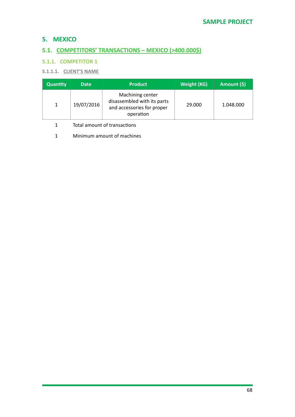# **5. MEXICO**

# **5.1. COMPETITORS' TRANSACTIONS - MEXICO (>400.000\$)**

### **5.1.1. COMPETITOR 1**

### **5.1.1.1.** CLIENT'S NAME

| <b>Quantity</b> | <b>Date</b> | <b>Product</b>                                                                             | Weight (KG) | Amount (\$) |
|-----------------|-------------|--------------------------------------------------------------------------------------------|-------------|-------------|
| $\mathbf{1}$    | 19/07/2016  | Machining center<br>disassembled with its parts<br>and accessories for proper<br>operation | 29,000      | 1.048.000   |

1 Total amount of transactions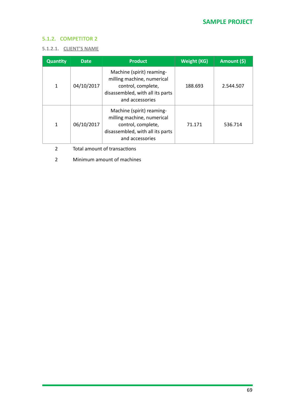### **5.1.2. COMPETITOR 2**

#### **5.1.2.1. CLIENT'S NAME**

| <b>Quantity</b> | <b>Date</b> | <b>Product</b>                                                                                                                       | <b>Weight (KG)</b> | Amount (\$) |
|-----------------|-------------|--------------------------------------------------------------------------------------------------------------------------------------|--------------------|-------------|
| 1               | 04/10/2017  | Machine (spirit) reaming-<br>milling machine, numerical<br>control, complete,<br>disassembled, with all its parts<br>and accessories | 188.693            | 2.544.507   |
| 1               | 06/10/2017  | Machine (spirit) reaming-<br>milling machine, numerical<br>control, complete,<br>disassembled, with all its parts<br>and accessories | 71.171             | 536.714     |

2 Total amount of transactions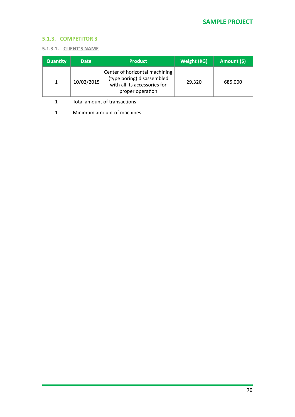### **5.1.3. COMPETITOR 3**

#### **5.1.3.1. CLIENT'S NAME**

| <b>Quantity</b> | <b>Date</b> | <b>Product</b>                                                                                                   | Weight (KG) | Amount (\$) |
|-----------------|-------------|------------------------------------------------------------------------------------------------------------------|-------------|-------------|
|                 | 10/02/2015  | Center of horizontal machining<br>(type boring) disassembled<br>with all its accessories for<br>proper operation | 29.320      | 685.000     |

- 1 Total amount of transactions
- 1 Minimum amount of machines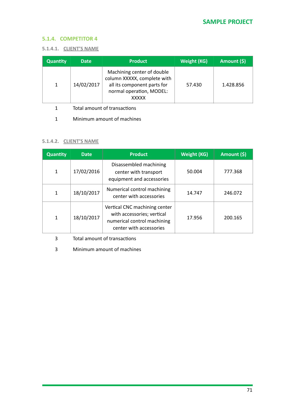### **5.1.4. COMPETITOR 4**

#### **5.1.4.1. CLIENT'S NAME**

| <b>Quantity</b> | <b>Date</b> | <b>Product</b>                                                                                                                       | Weight (KG) | Amount (\$) |
|-----------------|-------------|--------------------------------------------------------------------------------------------------------------------------------------|-------------|-------------|
| 1               | 14/02/2017  | Machining center of double<br>column XXXXX, complete with<br>all its component parts for<br>normal operation, MODEL:<br><b>XXXXX</b> | 57.430      | 1.428.856   |

1 Total amount of transactions

1 Minimum amount of machines

#### **5.1.4.2. CLIENT'S NAME**

| <b>Quantity</b> | <b>Date</b> | <b>Product</b>                                                                                                        | <b>Weight (KG)</b> | Amount (\$) |
|-----------------|-------------|-----------------------------------------------------------------------------------------------------------------------|--------------------|-------------|
| 1               | 17/02/2016  | Disassembled machining<br>center with transport<br>equipment and accessories                                          | 50.004             | 777.368     |
| 1               | 18/10/2017  | Numerical control machining<br>center with accessories                                                                | 14.747             | 246.072     |
| 1               | 18/10/2017  | Vertical CNC machining center<br>with accessories; vertical<br>numerical control machining<br>center with accessories | 17.956             | 200.165     |

3 Total amount of transactions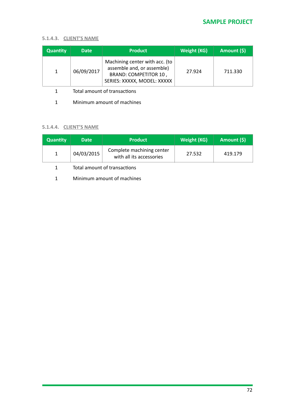### **5.1.4.3. CLIENT'S NAME**

| <b>Quantity</b> | <b>Date</b> | <b>Product</b>                                                                                                              | <b>Weight (KG)</b> | Amount (\$) |
|-----------------|-------------|-----------------------------------------------------------------------------------------------------------------------------|--------------------|-------------|
| $\mathbf{1}$    | 06/09/2017  | Machining center with acc. (to<br>assemble and, or assemble)<br><b>BRAND: COMPETITOR 10,</b><br>SERIES: XXXXX, MODEL: XXXXX | 27.924             | 711.330     |

- 1 Total amount of transactions
- 1 Minimum amount of machines

### **5.1.4.4. CLIENT'S NAME**

| <b>Quantity</b> | <b>Date</b> | <b>Product</b>                                        | Weight (KG) | Amount (\$) |
|-----------------|-------------|-------------------------------------------------------|-------------|-------------|
|                 | 04/03/2015  | Complete machining center<br>with all its accessories | 27.532      | 419.179     |

### 1 Total amount of transactions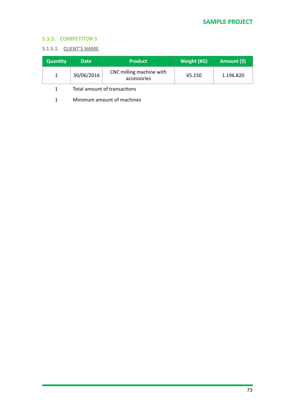### **5.1.5. COMPETITOR 5**

#### **5.1.5.1. CLIENT'S NAME**

| <b>Quantity</b> | <b>Date</b> | <b>Product</b>                          | Weight (KG) | Amount (\$) |
|-----------------|-------------|-----------------------------------------|-------------|-------------|
|                 | 30/06/2016  | CNC milling machine with<br>accessories | 65.150      | 1.196.820   |

1 Total amount of transactions